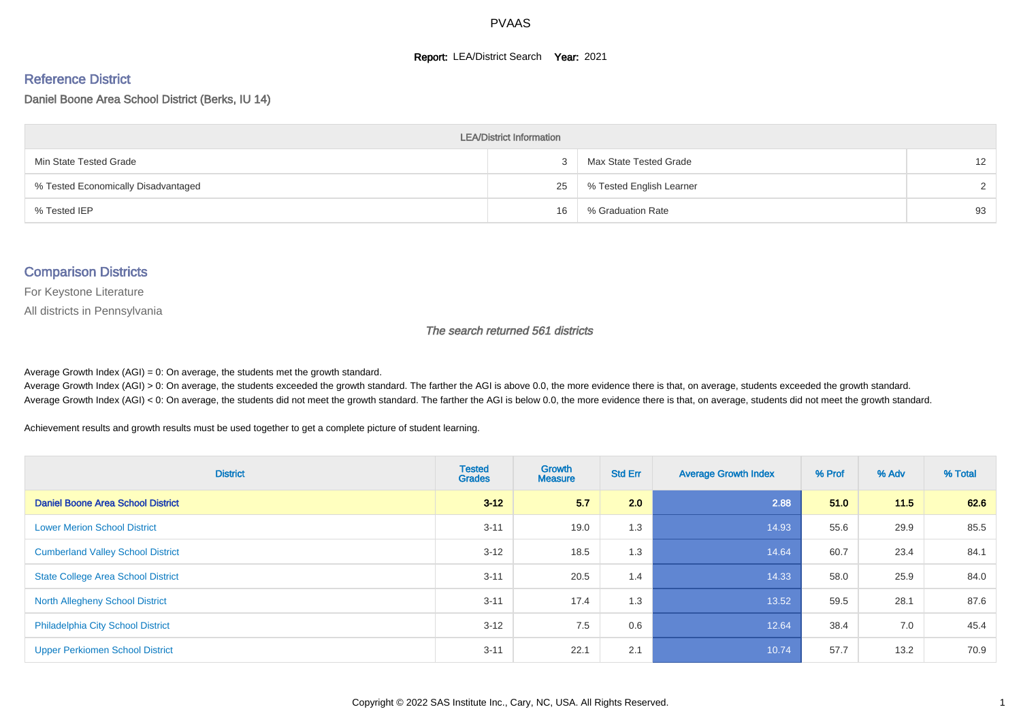#### **Report: LEA/District Search Year: 2021**

# Reference District

Daniel Boone Area School District (Berks, IU 14)

| <b>LEA/District Information</b>     |    |                          |                   |  |  |  |  |  |  |  |
|-------------------------------------|----|--------------------------|-------------------|--|--|--|--|--|--|--|
| Min State Tested Grade              |    | Max State Tested Grade   | $12 \overline{ }$ |  |  |  |  |  |  |  |
| % Tested Economically Disadvantaged | 25 | % Tested English Learner | $\sim$            |  |  |  |  |  |  |  |
| % Tested IEP                        | 16 | % Graduation Rate        | 93                |  |  |  |  |  |  |  |

#### Comparison Districts

For Keystone Literature

All districts in Pennsylvania

The search returned 561 districts

Average Growth Index  $(AGI) = 0$ : On average, the students met the growth standard.

Average Growth Index (AGI) > 0: On average, the students exceeded the growth standard. The farther the AGI is above 0.0, the more evidence there is that, on average, students exceeded the growth standard. Average Growth Index (AGI) < 0: On average, the students did not meet the growth standard. The farther the AGI is below 0.0, the more evidence there is that, on average, students did not meet the growth standard.

Achievement results and growth results must be used together to get a complete picture of student learning.

| <b>District</b>                           | <b>Tested</b><br><b>Grades</b> | <b>Growth</b><br><b>Measure</b> | <b>Std Err</b> | <b>Average Growth Index</b> | % Prof | % Adv | % Total |
|-------------------------------------------|--------------------------------|---------------------------------|----------------|-----------------------------|--------|-------|---------|
| Daniel Boone Area School District         | $3 - 12$                       | 5.7                             | 2.0            | 2.88                        | 51.0   | 11.5  | 62.6    |
| <b>Lower Merion School District</b>       | $3 - 11$                       | 19.0                            | 1.3            | 14.93                       | 55.6   | 29.9  | 85.5    |
| <b>Cumberland Valley School District</b>  | $3 - 12$                       | 18.5                            | 1.3            | 14.64                       | 60.7   | 23.4  | 84.1    |
| <b>State College Area School District</b> | $3 - 11$                       | 20.5                            | 1.4            | 14.33                       | 58.0   | 25.9  | 84.0    |
| <b>North Allegheny School District</b>    | $3 - 11$                       | 17.4                            | 1.3            | 13.52                       | 59.5   | 28.1  | 87.6    |
| <b>Philadelphia City School District</b>  | $3 - 12$                       | 7.5                             | 0.6            | 12.64                       | 38.4   | 7.0   | 45.4    |
| <b>Upper Perkiomen School District</b>    | $3 - 11$                       | 22.1                            | 2.1            | 10.74                       | 57.7   | 13.2  | 70.9    |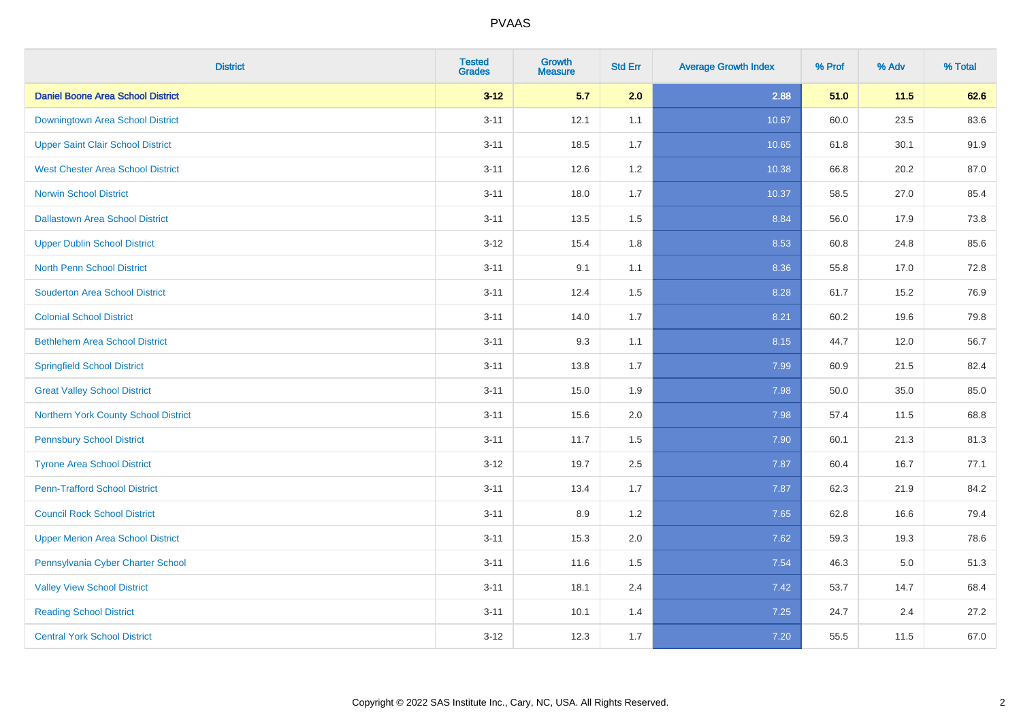| <b>District</b>                          | <b>Tested</b><br><b>Grades</b> | <b>Growth</b><br><b>Measure</b> | <b>Std Err</b> | <b>Average Growth Index</b> | % Prof | % Adv   | % Total |
|------------------------------------------|--------------------------------|---------------------------------|----------------|-----------------------------|--------|---------|---------|
| <b>Daniel Boone Area School District</b> | $3 - 12$                       | 5.7                             | 2.0            | 2.88                        | 51.0   | 11.5    | 62.6    |
| Downingtown Area School District         | $3 - 11$                       | 12.1                            | 1.1            | 10.67                       | 60.0   | 23.5    | 83.6    |
| <b>Upper Saint Clair School District</b> | $3 - 11$                       | 18.5                            | 1.7            | 10.65                       | 61.8   | 30.1    | 91.9    |
| <b>West Chester Area School District</b> | $3 - 11$                       | 12.6                            | 1.2            | 10.38                       | 66.8   | 20.2    | 87.0    |
| <b>Norwin School District</b>            | $3 - 11$                       | 18.0                            | 1.7            | 10.37                       | 58.5   | 27.0    | 85.4    |
| <b>Dallastown Area School District</b>   | $3 - 11$                       | 13.5                            | 1.5            | 8.84                        | 56.0   | 17.9    | 73.8    |
| <b>Upper Dublin School District</b>      | $3 - 12$                       | 15.4                            | 1.8            | 8.53                        | 60.8   | 24.8    | 85.6    |
| <b>North Penn School District</b>        | $3 - 11$                       | 9.1                             | 1.1            | 8.36                        | 55.8   | 17.0    | 72.8    |
| <b>Souderton Area School District</b>    | $3 - 11$                       | 12.4                            | 1.5            | 8.28                        | 61.7   | 15.2    | 76.9    |
| <b>Colonial School District</b>          | $3 - 11$                       | 14.0                            | 1.7            | 8.21                        | 60.2   | 19.6    | 79.8    |
| <b>Bethlehem Area School District</b>    | $3 - 11$                       | 9.3                             | 1.1            | 8.15                        | 44.7   | 12.0    | 56.7    |
| <b>Springfield School District</b>       | $3 - 11$                       | 13.8                            | 1.7            | 7.99                        | 60.9   | 21.5    | 82.4    |
| <b>Great Valley School District</b>      | $3 - 11$                       | 15.0                            | 1.9            | 7.98                        | 50.0   | 35.0    | 85.0    |
| Northern York County School District     | $3 - 11$                       | 15.6                            | 2.0            | 7.98                        | 57.4   | 11.5    | 68.8    |
| <b>Pennsbury School District</b>         | $3 - 11$                       | 11.7                            | 1.5            | 7.90                        | 60.1   | 21.3    | 81.3    |
| <b>Tyrone Area School District</b>       | $3 - 12$                       | 19.7                            | 2.5            | 7.87                        | 60.4   | 16.7    | 77.1    |
| <b>Penn-Trafford School District</b>     | $3 - 11$                       | 13.4                            | 1.7            | 7.87                        | 62.3   | 21.9    | 84.2    |
| <b>Council Rock School District</b>      | $3 - 11$                       | 8.9                             | 1.2            | 7.65                        | 62.8   | 16.6    | 79.4    |
| <b>Upper Merion Area School District</b> | $3 - 11$                       | 15.3                            | 2.0            | 7.62                        | 59.3   | 19.3    | 78.6    |
| Pennsylvania Cyber Charter School        | $3 - 11$                       | 11.6                            | 1.5            | 7.54                        | 46.3   | $5.0\,$ | 51.3    |
| <b>Valley View School District</b>       | $3 - 11$                       | 18.1                            | 2.4            | 7.42                        | 53.7   | 14.7    | 68.4    |
| <b>Reading School District</b>           | $3 - 11$                       | 10.1                            | 1.4            | 7.25                        | 24.7   | 2.4     | 27.2    |
| <b>Central York School District</b>      | $3 - 12$                       | 12.3                            | 1.7            | $7.20$                      | 55.5   | 11.5    | 67.0    |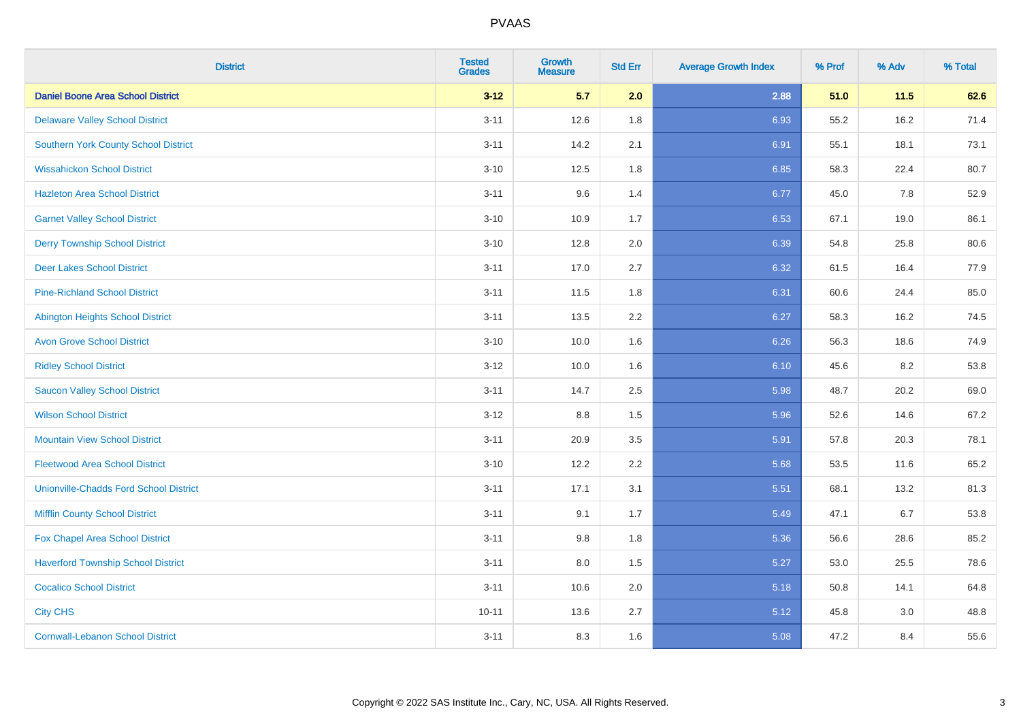| <b>District</b>                               | <b>Tested</b><br><b>Grades</b> | <b>Growth</b><br><b>Measure</b> | <b>Std Err</b> | <b>Average Growth Index</b> | % Prof | % Adv  | % Total |
|-----------------------------------------------|--------------------------------|---------------------------------|----------------|-----------------------------|--------|--------|---------|
| <b>Daniel Boone Area School District</b>      | $3 - 12$                       | 5.7                             | 2.0            | 2.88                        | 51.0   | $11.5$ | 62.6    |
| <b>Delaware Valley School District</b>        | $3 - 11$                       | 12.6                            | 1.8            | 6.93                        | 55.2   | 16.2   | 71.4    |
| <b>Southern York County School District</b>   | $3 - 11$                       | 14.2                            | 2.1            | 6.91                        | 55.1   | 18.1   | 73.1    |
| <b>Wissahickon School District</b>            | $3 - 10$                       | 12.5                            | 1.8            | 6.85                        | 58.3   | 22.4   | 80.7    |
| <b>Hazleton Area School District</b>          | $3 - 11$                       | 9.6                             | 1.4            | 6.77                        | 45.0   | 7.8    | 52.9    |
| <b>Garnet Valley School District</b>          | $3 - 10$                       | 10.9                            | 1.7            | 6.53                        | 67.1   | 19.0   | 86.1    |
| <b>Derry Township School District</b>         | $3 - 10$                       | 12.8                            | 2.0            | 6.39                        | 54.8   | 25.8   | 80.6    |
| <b>Deer Lakes School District</b>             | $3 - 11$                       | 17.0                            | 2.7            | 6.32                        | 61.5   | 16.4   | 77.9    |
| <b>Pine-Richland School District</b>          | $3 - 11$                       | 11.5                            | 1.8            | 6.31                        | 60.6   | 24.4   | 85.0    |
| <b>Abington Heights School District</b>       | $3 - 11$                       | 13.5                            | 2.2            | 6.27                        | 58.3   | 16.2   | 74.5    |
| <b>Avon Grove School District</b>             | $3 - 10$                       | 10.0                            | 1.6            | 6.26                        | 56.3   | 18.6   | 74.9    |
| <b>Ridley School District</b>                 | $3 - 12$                       | 10.0                            | 1.6            | 6.10                        | 45.6   | 8.2    | 53.8    |
| <b>Saucon Valley School District</b>          | $3 - 11$                       | 14.7                            | 2.5            | 5.98                        | 48.7   | 20.2   | 69.0    |
| <b>Wilson School District</b>                 | $3 - 12$                       | $8.8\,$                         | 1.5            | 5.96                        | 52.6   | 14.6   | 67.2    |
| <b>Mountain View School District</b>          | $3 - 11$                       | 20.9                            | 3.5            | 5.91                        | 57.8   | 20.3   | 78.1    |
| <b>Fleetwood Area School District</b>         | $3 - 10$                       | 12.2                            | 2.2            | 5.68                        | 53.5   | 11.6   | 65.2    |
| <b>Unionville-Chadds Ford School District</b> | $3 - 11$                       | 17.1                            | 3.1            | 5.51                        | 68.1   | 13.2   | 81.3    |
| <b>Mifflin County School District</b>         | $3 - 11$                       | 9.1                             | 1.7            | 5.49                        | 47.1   | 6.7    | 53.8    |
| Fox Chapel Area School District               | $3 - 11$                       | 9.8                             | 1.8            | 5.36                        | 56.6   | 28.6   | 85.2    |
| <b>Haverford Township School District</b>     | $3 - 11$                       | 8.0                             | 1.5            | 5.27                        | 53.0   | 25.5   | 78.6    |
| <b>Cocalico School District</b>               | $3 - 11$                       | 10.6                            | 2.0            | 5.18                        | 50.8   | 14.1   | 64.8    |
| <b>City CHS</b>                               | $10 - 11$                      | 13.6                            | 2.7            | 5.12                        | 45.8   | 3.0    | 48.8    |
| <b>Cornwall-Lebanon School District</b>       | $3 - 11$                       | 8.3                             | 1.6            | 5.08                        | 47.2   | 8.4    | 55.6    |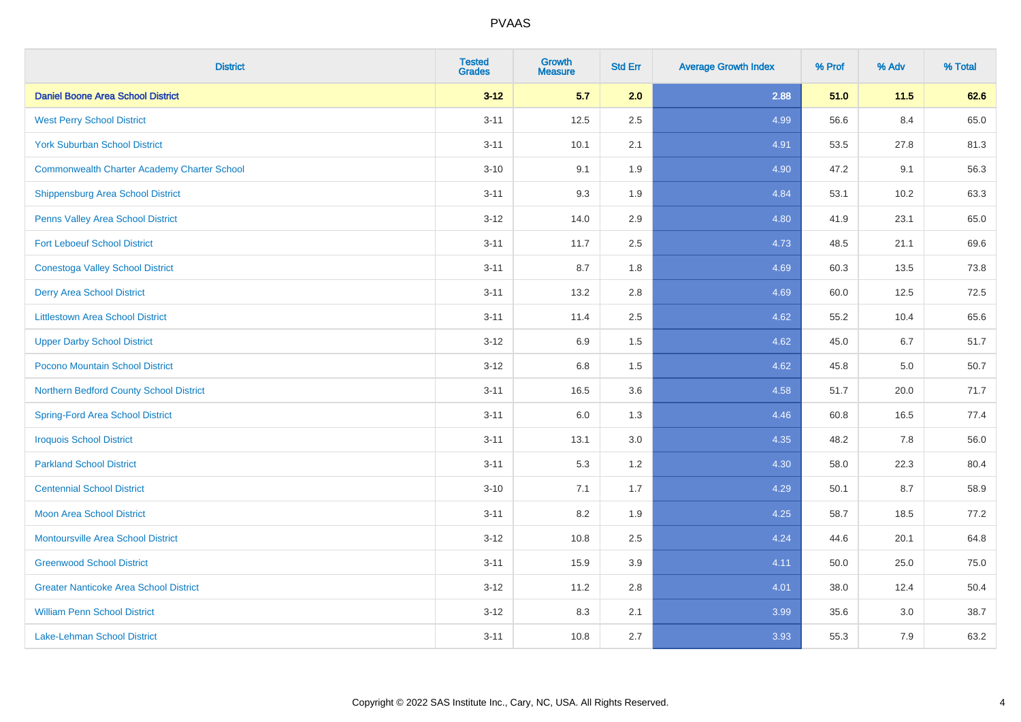| <b>District</b>                                    | <b>Tested</b><br><b>Grades</b> | <b>Growth</b><br><b>Measure</b> | <b>Std Err</b> | <b>Average Growth Index</b> | % Prof | % Adv | % Total |
|----------------------------------------------------|--------------------------------|---------------------------------|----------------|-----------------------------|--------|-------|---------|
| <b>Daniel Boone Area School District</b>           | $3 - 12$                       | 5.7                             | 2.0            | 2.88                        | 51.0   | 11.5  | 62.6    |
| <b>West Perry School District</b>                  | $3 - 11$                       | 12.5                            | 2.5            | 4.99                        | 56.6   | 8.4   | 65.0    |
| <b>York Suburban School District</b>               | $3 - 11$                       | 10.1                            | 2.1            | 4.91                        | 53.5   | 27.8  | 81.3    |
| <b>Commonwealth Charter Academy Charter School</b> | $3 - 10$                       | 9.1                             | 1.9            | 4.90                        | 47.2   | 9.1   | 56.3    |
| <b>Shippensburg Area School District</b>           | $3 - 11$                       | 9.3                             | 1.9            | 4.84                        | 53.1   | 10.2  | 63.3    |
| Penns Valley Area School District                  | $3 - 12$                       | 14.0                            | 2.9            | 4.80                        | 41.9   | 23.1  | 65.0    |
| <b>Fort Leboeuf School District</b>                | $3 - 11$                       | 11.7                            | 2.5            | 4.73                        | 48.5   | 21.1  | 69.6    |
| <b>Conestoga Valley School District</b>            | $3 - 11$                       | 8.7                             | 1.8            | 4.69                        | 60.3   | 13.5  | 73.8    |
| <b>Derry Area School District</b>                  | $3 - 11$                       | 13.2                            | 2.8            | 4.69                        | 60.0   | 12.5  | 72.5    |
| <b>Littlestown Area School District</b>            | $3 - 11$                       | 11.4                            | 2.5            | 4.62                        | 55.2   | 10.4  | 65.6    |
| <b>Upper Darby School District</b>                 | $3 - 12$                       | 6.9                             | 1.5            | 4.62                        | 45.0   | 6.7   | 51.7    |
| Pocono Mountain School District                    | $3 - 12$                       | 6.8                             | 1.5            | 4.62                        | 45.8   | 5.0   | 50.7    |
| Northern Bedford County School District            | $3 - 11$                       | 16.5                            | 3.6            | 4.58                        | 51.7   | 20.0  | 71.7    |
| <b>Spring-Ford Area School District</b>            | $3 - 11$                       | 6.0                             | 1.3            | 4.46                        | 60.8   | 16.5  | 77.4    |
| <b>Iroquois School District</b>                    | $3 - 11$                       | 13.1                            | 3.0            | 4.35                        | 48.2   | 7.8   | 56.0    |
| <b>Parkland School District</b>                    | $3 - 11$                       | 5.3                             | 1.2            | 4.30                        | 58.0   | 22.3  | 80.4    |
| <b>Centennial School District</b>                  | $3 - 10$                       | 7.1                             | 1.7            | 4.29                        | 50.1   | 8.7   | 58.9    |
| <b>Moon Area School District</b>                   | $3 - 11$                       | 8.2                             | 1.9            | 4.25                        | 58.7   | 18.5  | 77.2    |
| <b>Montoursville Area School District</b>          | $3 - 12$                       | 10.8                            | 2.5            | 4.24                        | 44.6   | 20.1  | 64.8    |
| <b>Greenwood School District</b>                   | $3 - 11$                       | 15.9                            | 3.9            | 4.11                        | 50.0   | 25.0  | 75.0    |
| <b>Greater Nanticoke Area School District</b>      | $3 - 12$                       | 11.2                            | 2.8            | 4.01                        | 38.0   | 12.4  | 50.4    |
| <b>William Penn School District</b>                | $3 - 12$                       | 8.3                             | 2.1            | 3.99                        | 35.6   | 3.0   | 38.7    |
| <b>Lake-Lehman School District</b>                 | $3 - 11$                       | 10.8                            | 2.7            | 3.93                        | 55.3   | 7.9   | 63.2    |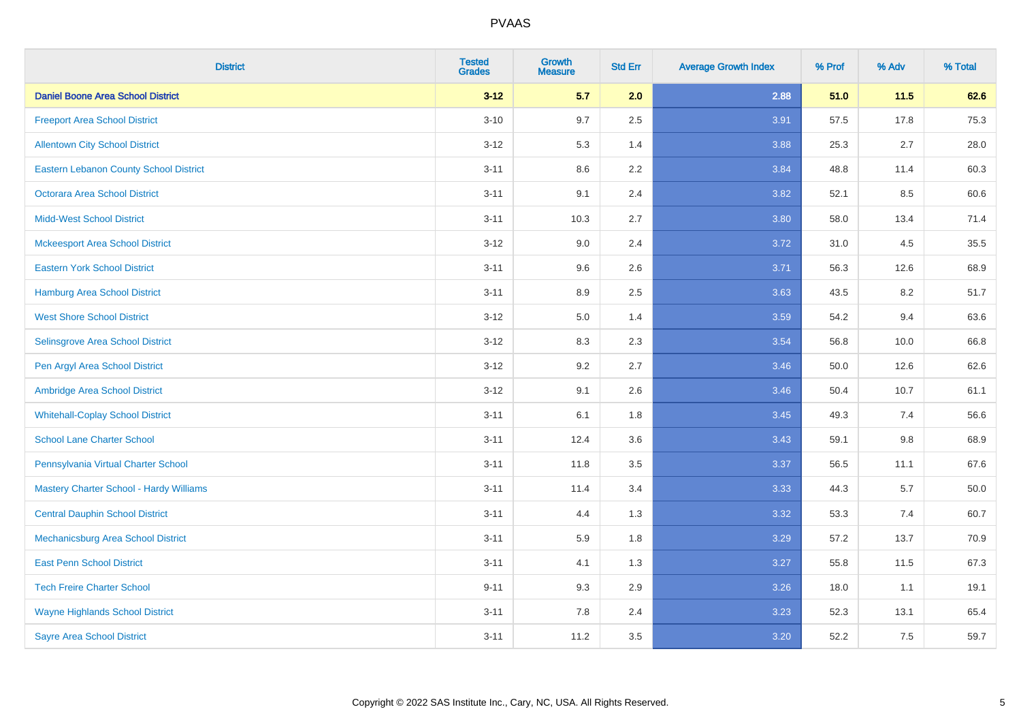| <b>District</b>                               | <b>Tested</b><br><b>Grades</b> | <b>Growth</b><br><b>Measure</b> | <b>Std Err</b> | <b>Average Growth Index</b> | % Prof | % Adv  | % Total |
|-----------------------------------------------|--------------------------------|---------------------------------|----------------|-----------------------------|--------|--------|---------|
| <b>Daniel Boone Area School District</b>      | $3 - 12$                       | 5.7                             | 2.0            | 2.88                        | 51.0   | $11.5$ | 62.6    |
| <b>Freeport Area School District</b>          | $3 - 10$                       | 9.7                             | 2.5            | 3.91                        | 57.5   | 17.8   | 75.3    |
| <b>Allentown City School District</b>         | $3 - 12$                       | 5.3                             | 1.4            | 3.88                        | 25.3   | 2.7    | 28.0    |
| <b>Eastern Lebanon County School District</b> | $3 - 11$                       | 8.6                             | 2.2            | 3.84                        | 48.8   | 11.4   | 60.3    |
| <b>Octorara Area School District</b>          | $3 - 11$                       | 9.1                             | 2.4            | 3.82                        | 52.1   | 8.5    | 60.6    |
| <b>Midd-West School District</b>              | $3 - 11$                       | 10.3                            | 2.7            | 3.80                        | 58.0   | 13.4   | 71.4    |
| <b>Mckeesport Area School District</b>        | $3 - 12$                       | 9.0                             | 2.4            | 3.72                        | 31.0   | 4.5    | 35.5    |
| <b>Eastern York School District</b>           | $3 - 11$                       | 9.6                             | 2.6            | 3.71                        | 56.3   | 12.6   | 68.9    |
| <b>Hamburg Area School District</b>           | $3 - 11$                       | 8.9                             | 2.5            | 3.63                        | 43.5   | 8.2    | 51.7    |
| <b>West Shore School District</b>             | $3-12$                         | 5.0                             | 1.4            | 3.59                        | 54.2   | 9.4    | 63.6    |
| Selinsgrove Area School District              | $3-12$                         | 8.3                             | 2.3            | 3.54                        | 56.8   | 10.0   | 66.8    |
| Pen Argyl Area School District                | $3 - 12$                       | 9.2                             | 2.7            | 3.46                        | 50.0   | 12.6   | 62.6    |
| Ambridge Area School District                 | $3 - 12$                       | 9.1                             | 2.6            | 3.46                        | 50.4   | 10.7   | 61.1    |
| <b>Whitehall-Coplay School District</b>       | $3 - 11$                       | 6.1                             | 1.8            | 3.45                        | 49.3   | 7.4    | 56.6    |
| <b>School Lane Charter School</b>             | $3 - 11$                       | 12.4                            | 3.6            | 3.43                        | 59.1   | 9.8    | 68.9    |
| Pennsylvania Virtual Charter School           | $3 - 11$                       | 11.8                            | 3.5            | 3.37                        | 56.5   | 11.1   | 67.6    |
| Mastery Charter School - Hardy Williams       | $3 - 11$                       | 11.4                            | 3.4            | 3.33                        | 44.3   | 5.7    | 50.0    |
| <b>Central Dauphin School District</b>        | $3 - 11$                       | 4.4                             | 1.3            | 3.32                        | 53.3   | 7.4    | 60.7    |
| Mechanicsburg Area School District            | $3 - 11$                       | 5.9                             | 1.8            | 3.29                        | 57.2   | 13.7   | 70.9    |
| <b>East Penn School District</b>              | $3 - 11$                       | 4.1                             | 1.3            | 3.27                        | 55.8   | 11.5   | 67.3    |
| <b>Tech Freire Charter School</b>             | $9 - 11$                       | 9.3                             | 2.9            | 3.26                        | 18.0   | 1.1    | 19.1    |
| <b>Wayne Highlands School District</b>        | $3 - 11$                       | 7.8                             | 2.4            | 3.23                        | 52.3   | 13.1   | 65.4    |
| <b>Sayre Area School District</b>             | $3 - 11$                       | 11.2                            | 3.5            | 3.20                        | 52.2   | 7.5    | 59.7    |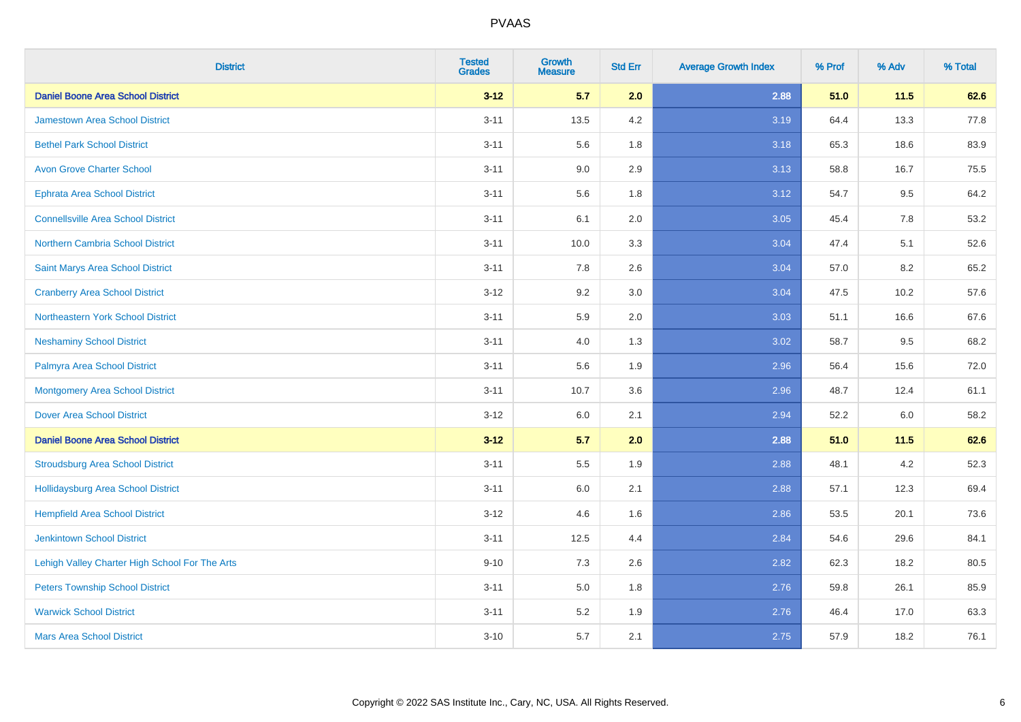| <b>District</b>                                | <b>Tested</b><br><b>Grades</b> | <b>Growth</b><br><b>Measure</b> | <b>Std Err</b> | <b>Average Growth Index</b> | % Prof | % Adv | % Total |
|------------------------------------------------|--------------------------------|---------------------------------|----------------|-----------------------------|--------|-------|---------|
| <b>Daniel Boone Area School District</b>       | $3 - 12$                       | 5.7                             | 2.0            | 2.88                        | 51.0   | 11.5  | 62.6    |
| <b>Jamestown Area School District</b>          | $3 - 11$                       | 13.5                            | 4.2            | 3.19                        | 64.4   | 13.3  | 77.8    |
| <b>Bethel Park School District</b>             | $3 - 11$                       | 5.6                             | 1.8            | 3.18                        | 65.3   | 18.6  | 83.9    |
| <b>Avon Grove Charter School</b>               | $3 - 11$                       | 9.0                             | 2.9            | 3.13                        | 58.8   | 16.7  | 75.5    |
| <b>Ephrata Area School District</b>            | $3 - 11$                       | 5.6                             | 1.8            | 3.12                        | 54.7   | 9.5   | 64.2    |
| <b>Connellsville Area School District</b>      | $3 - 11$                       | 6.1                             | 2.0            | 3.05                        | 45.4   | 7.8   | 53.2    |
| <b>Northern Cambria School District</b>        | $3 - 11$                       | 10.0                            | 3.3            | 3.04                        | 47.4   | 5.1   | 52.6    |
| Saint Marys Area School District               | $3 - 11$                       | 7.8                             | 2.6            | 3.04                        | 57.0   | 8.2   | 65.2    |
| <b>Cranberry Area School District</b>          | $3 - 12$                       | 9.2                             | 3.0            | 3.04                        | 47.5   | 10.2  | 57.6    |
| Northeastern York School District              | $3 - 11$                       | 5.9                             | 2.0            | 3.03                        | 51.1   | 16.6  | 67.6    |
| <b>Neshaminy School District</b>               | $3 - 11$                       | 4.0                             | 1.3            | 3.02                        | 58.7   | 9.5   | 68.2    |
| Palmyra Area School District                   | $3 - 11$                       | 5.6                             | 1.9            | 2.96                        | 56.4   | 15.6  | 72.0    |
| <b>Montgomery Area School District</b>         | $3 - 11$                       | 10.7                            | 3.6            | 2.96                        | 48.7   | 12.4  | 61.1    |
| <b>Dover Area School District</b>              | $3 - 12$                       | 6.0                             | 2.1            | 2.94                        | 52.2   | 6.0   | 58.2    |
| <b>Daniel Boone Area School District</b>       | $3 - 12$                       | 5.7                             | 2.0            | 2.88                        | 51.0   | 11.5  | 62.6    |
| <b>Stroudsburg Area School District</b>        | $3 - 11$                       | $5.5\,$                         | 1.9            | 2.88                        | 48.1   | 4.2   | 52.3    |
| <b>Hollidaysburg Area School District</b>      | $3 - 11$                       | 6.0                             | 2.1            | 2.88                        | 57.1   | 12.3  | 69.4    |
| <b>Hempfield Area School District</b>          | $3 - 12$                       | 4.6                             | 1.6            | 2.86                        | 53.5   | 20.1  | 73.6    |
| <b>Jenkintown School District</b>              | $3 - 11$                       | 12.5                            | 4.4            | 2.84                        | 54.6   | 29.6  | 84.1    |
| Lehigh Valley Charter High School For The Arts | $9 - 10$                       | 7.3                             | 2.6            | 2.82                        | 62.3   | 18.2  | 80.5    |
| <b>Peters Township School District</b>         | $3 - 11$                       | 5.0                             | 1.8            | 2.76                        | 59.8   | 26.1  | 85.9    |
| <b>Warwick School District</b>                 | $3 - 11$                       | 5.2                             | 1.9            | 2.76                        | 46.4   | 17.0  | 63.3    |
| <b>Mars Area School District</b>               | $3 - 10$                       | 5.7                             | 2.1            | 2.75                        | 57.9   | 18.2  | 76.1    |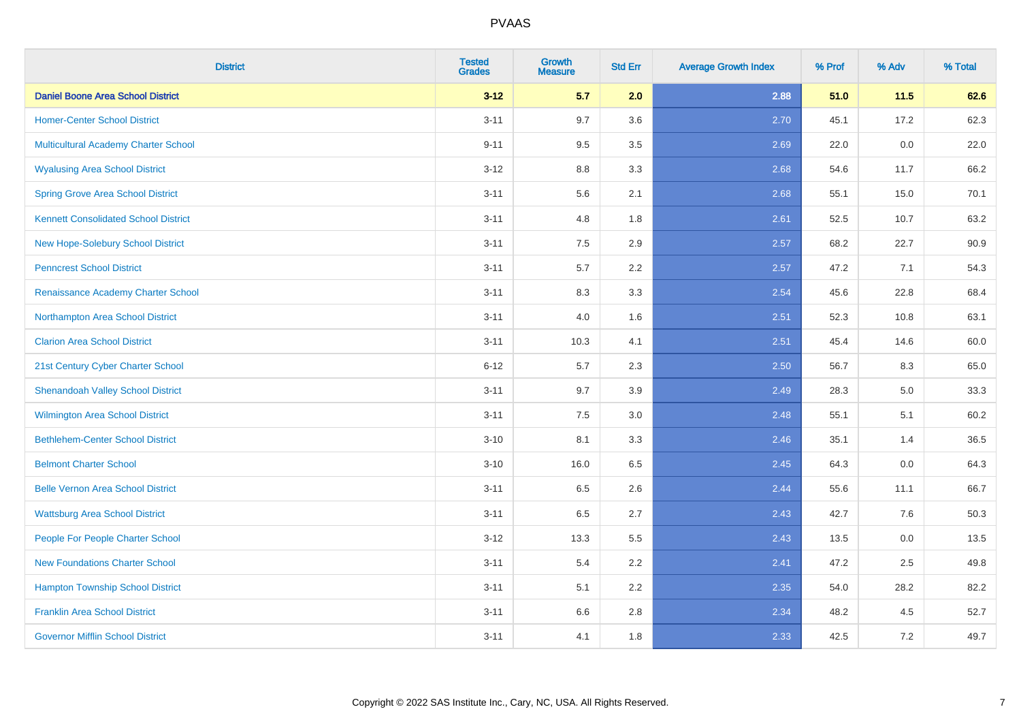| <b>District</b>                             | <b>Tested</b><br><b>Grades</b> | <b>Growth</b><br><b>Measure</b> | <b>Std Err</b> | <b>Average Growth Index</b> | % Prof | % Adv   | % Total |
|---------------------------------------------|--------------------------------|---------------------------------|----------------|-----------------------------|--------|---------|---------|
| <b>Daniel Boone Area School District</b>    | $3 - 12$                       | 5.7                             | 2.0            | 2.88                        | 51.0   | 11.5    | 62.6    |
| <b>Homer-Center School District</b>         | $3 - 11$                       | 9.7                             | 3.6            | 2.70                        | 45.1   | 17.2    | 62.3    |
| <b>Multicultural Academy Charter School</b> | $9 - 11$                       | 9.5                             | 3.5            | 2.69                        | 22.0   | 0.0     | 22.0    |
| <b>Wyalusing Area School District</b>       | $3 - 12$                       | 8.8                             | 3.3            | 2.68                        | 54.6   | 11.7    | 66.2    |
| <b>Spring Grove Area School District</b>    | $3 - 11$                       | 5.6                             | 2.1            | 2.68                        | 55.1   | 15.0    | 70.1    |
| <b>Kennett Consolidated School District</b> | $3 - 11$                       | 4.8                             | 1.8            | 2.61                        | 52.5   | 10.7    | 63.2    |
| New Hope-Solebury School District           | $3 - 11$                       | 7.5                             | 2.9            | 2.57                        | 68.2   | 22.7    | 90.9    |
| <b>Penncrest School District</b>            | $3 - 11$                       | 5.7                             | 2.2            | 2.57                        | 47.2   | 7.1     | 54.3    |
| Renaissance Academy Charter School          | $3 - 11$                       | 8.3                             | 3.3            | 2.54                        | 45.6   | 22.8    | 68.4    |
| Northampton Area School District            | $3 - 11$                       | 4.0                             | 1.6            | 2.51                        | 52.3   | 10.8    | 63.1    |
| <b>Clarion Area School District</b>         | $3 - 11$                       | 10.3                            | 4.1            | 2.51                        | 45.4   | 14.6    | 60.0    |
| 21st Century Cyber Charter School           | $6 - 12$                       | 5.7                             | 2.3            | 2.50                        | 56.7   | 8.3     | 65.0    |
| <b>Shenandoah Valley School District</b>    | $3 - 11$                       | 9.7                             | 3.9            | 2.49                        | 28.3   | $5.0\,$ | 33.3    |
| Wilmington Area School District             | $3 - 11$                       | 7.5                             | 3.0            | 2.48                        | 55.1   | 5.1     | 60.2    |
| <b>Bethlehem-Center School District</b>     | $3 - 10$                       | 8.1                             | 3.3            | 2.46                        | 35.1   | 1.4     | 36.5    |
| <b>Belmont Charter School</b>               | $3 - 10$                       | 16.0                            | 6.5            | 2.45                        | 64.3   | $0.0\,$ | 64.3    |
| <b>Belle Vernon Area School District</b>    | $3 - 11$                       | 6.5                             | 2.6            | 2.44                        | 55.6   | 11.1    | 66.7    |
| <b>Wattsburg Area School District</b>       | $3 - 11$                       | 6.5                             | 2.7            | 2.43                        | 42.7   | 7.6     | 50.3    |
| People For People Charter School            | $3 - 12$                       | 13.3                            | 5.5            | 2.43                        | 13.5   | 0.0     | 13.5    |
| <b>New Foundations Charter School</b>       | $3 - 11$                       | 5.4                             | 2.2            | 2.41                        | 47.2   | 2.5     | 49.8    |
| <b>Hampton Township School District</b>     | $3 - 11$                       | 5.1                             | 2.2            | 2.35                        | 54.0   | 28.2    | 82.2    |
| <b>Franklin Area School District</b>        | $3 - 11$                       | 6.6                             | 2.8            | 2.34                        | 48.2   | 4.5     | 52.7    |
| <b>Governor Mifflin School District</b>     | $3 - 11$                       | 4.1                             | 1.8            | 2.33                        | 42.5   | 7.2     | 49.7    |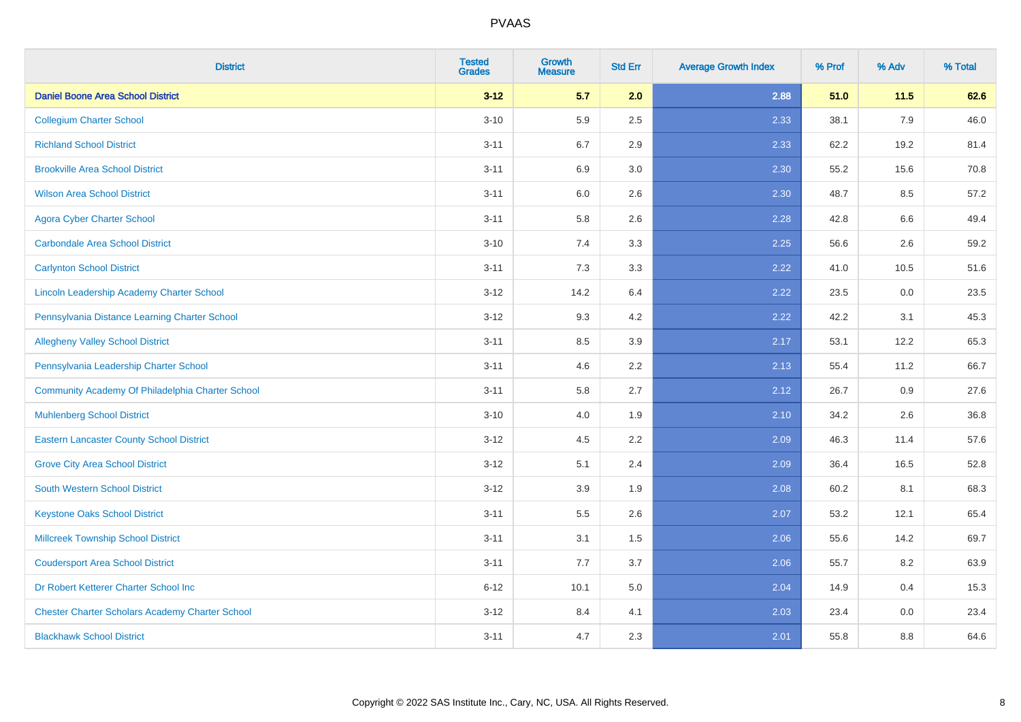| <b>District</b>                                        | <b>Tested</b><br><b>Grades</b> | <b>Growth</b><br><b>Measure</b> | <b>Std Err</b> | <b>Average Growth Index</b> | % Prof | % Adv | % Total |
|--------------------------------------------------------|--------------------------------|---------------------------------|----------------|-----------------------------|--------|-------|---------|
| <b>Daniel Boone Area School District</b>               | $3 - 12$                       | 5.7                             | 2.0            | 2.88                        | 51.0   | 11.5  | 62.6    |
| <b>Collegium Charter School</b>                        | $3 - 10$                       | 5.9                             | 2.5            | 2.33                        | 38.1   | 7.9   | 46.0    |
| <b>Richland School District</b>                        | $3 - 11$                       | 6.7                             | 2.9            | 2.33                        | 62.2   | 19.2  | 81.4    |
| <b>Brookville Area School District</b>                 | $3 - 11$                       | 6.9                             | 3.0            | 2.30                        | 55.2   | 15.6  | 70.8    |
| <b>Wilson Area School District</b>                     | $3 - 11$                       | 6.0                             | 2.6            | 2.30                        | 48.7   | 8.5   | 57.2    |
| <b>Agora Cyber Charter School</b>                      | $3 - 11$                       | 5.8                             | 2.6            | 2.28                        | 42.8   | 6.6   | 49.4    |
| <b>Carbondale Area School District</b>                 | $3 - 10$                       | 7.4                             | 3.3            | 2.25                        | 56.6   | 2.6   | 59.2    |
| <b>Carlynton School District</b>                       | $3 - 11$                       | 7.3                             | 3.3            | 2.22                        | 41.0   | 10.5  | 51.6    |
| Lincoln Leadership Academy Charter School              | $3 - 12$                       | 14.2                            | 6.4            | 2.22                        | 23.5   | 0.0   | 23.5    |
| Pennsylvania Distance Learning Charter School          | $3 - 12$                       | 9.3                             | 4.2            | 2.22                        | 42.2   | 3.1   | 45.3    |
| <b>Allegheny Valley School District</b>                | $3 - 11$                       | 8.5                             | 3.9            | 2.17                        | 53.1   | 12.2  | 65.3    |
| Pennsylvania Leadership Charter School                 | $3 - 11$                       | 4.6                             | 2.2            | 2.13                        | 55.4   | 11.2  | 66.7    |
| Community Academy Of Philadelphia Charter School       | $3 - 11$                       | 5.8                             | 2.7            | 2.12                        | 26.7   | 0.9   | 27.6    |
| <b>Muhlenberg School District</b>                      | $3 - 10$                       | 4.0                             | 1.9            | 2.10                        | 34.2   | 2.6   | 36.8    |
| <b>Eastern Lancaster County School District</b>        | $3 - 12$                       | 4.5                             | 2.2            | 2.09                        | 46.3   | 11.4  | 57.6    |
| <b>Grove City Area School District</b>                 | $3 - 12$                       | 5.1                             | 2.4            | 2.09                        | 36.4   | 16.5  | 52.8    |
| <b>South Western School District</b>                   | $3 - 12$                       | 3.9                             | 1.9            | 2.08                        | 60.2   | 8.1   | 68.3    |
| <b>Keystone Oaks School District</b>                   | $3 - 11$                       | 5.5                             | 2.6            | 2.07                        | 53.2   | 12.1  | 65.4    |
| <b>Millcreek Township School District</b>              | $3 - 11$                       | 3.1                             | 1.5            | 2.06                        | 55.6   | 14.2  | 69.7    |
| <b>Coudersport Area School District</b>                | $3 - 11$                       | 7.7                             | 3.7            | 2.06                        | 55.7   | 8.2   | 63.9    |
| Dr Robert Ketterer Charter School Inc                  | $6 - 12$                       | 10.1                            | 5.0            | 2.04                        | 14.9   | 0.4   | 15.3    |
| <b>Chester Charter Scholars Academy Charter School</b> | $3 - 12$                       | 8.4                             | 4.1            | 2.03                        | 23.4   | 0.0   | 23.4    |
| <b>Blackhawk School District</b>                       | $3 - 11$                       | 4.7                             | 2.3            | 2.01                        | 55.8   | 8.8   | 64.6    |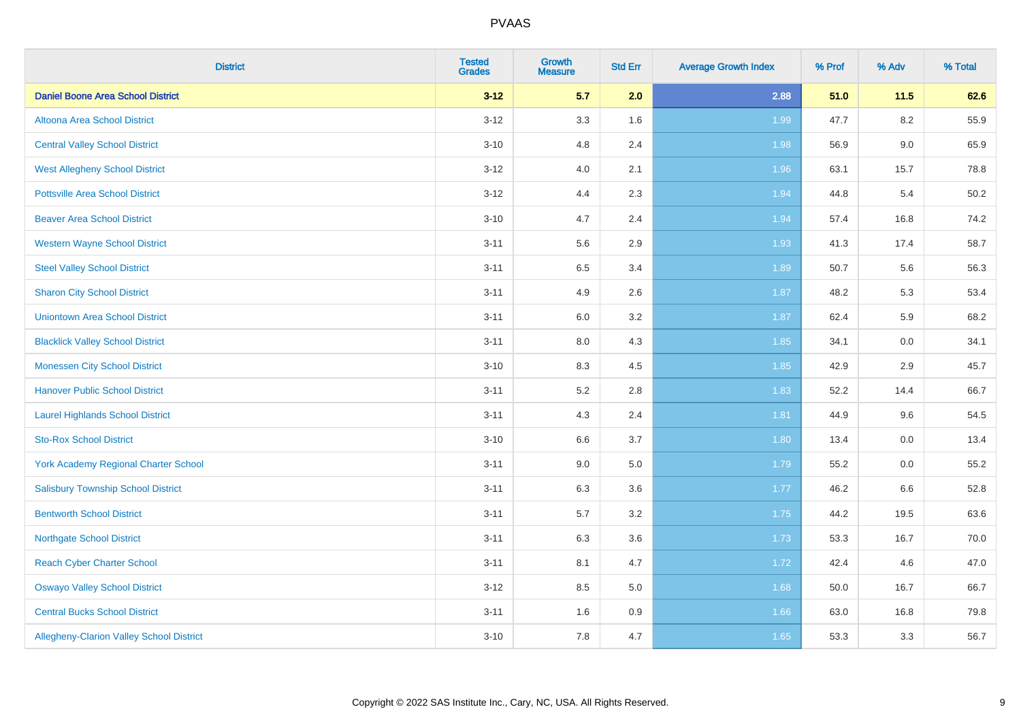| <b>District</b>                           | <b>Tested</b><br><b>Grades</b> | <b>Growth</b><br><b>Measure</b> | <b>Std Err</b> | <b>Average Growth Index</b> | % Prof | % Adv   | % Total |
|-------------------------------------------|--------------------------------|---------------------------------|----------------|-----------------------------|--------|---------|---------|
| <b>Daniel Boone Area School District</b>  | $3 - 12$                       | 5.7                             | 2.0            | 2.88                        | 51.0   | $11.5$  | 62.6    |
| Altoona Area School District              | $3 - 12$                       | 3.3                             | 1.6            | 1.99                        | 47.7   | $8.2\,$ | 55.9    |
| <b>Central Valley School District</b>     | $3 - 10$                       | 4.8                             | 2.4            | 1.98                        | 56.9   | 9.0     | 65.9    |
| <b>West Allegheny School District</b>     | $3 - 12$                       | 4.0                             | 2.1            | 1.96                        | 63.1   | 15.7    | 78.8    |
| <b>Pottsville Area School District</b>    | $3 - 12$                       | 4.4                             | 2.3            | 1.94                        | 44.8   | 5.4     | 50.2    |
| <b>Beaver Area School District</b>        | $3 - 10$                       | 4.7                             | 2.4            | 1.94                        | 57.4   | 16.8    | 74.2    |
| <b>Western Wayne School District</b>      | $3 - 11$                       | 5.6                             | 2.9            | 1.93                        | 41.3   | 17.4    | 58.7    |
| <b>Steel Valley School District</b>       | $3 - 11$                       | 6.5                             | 3.4            | 1.89                        | 50.7   | 5.6     | 56.3    |
| <b>Sharon City School District</b>        | $3 - 11$                       | 4.9                             | 2.6            | 1.87                        | 48.2   | 5.3     | 53.4    |
| <b>Uniontown Area School District</b>     | $3 - 11$                       | 6.0                             | 3.2            | 1.87                        | 62.4   | 5.9     | 68.2    |
| <b>Blacklick Valley School District</b>   | $3 - 11$                       | $8.0\,$                         | 4.3            | 1.85                        | 34.1   | 0.0     | 34.1    |
| <b>Monessen City School District</b>      | $3 - 10$                       | 8.3                             | 4.5            | 1.85                        | 42.9   | 2.9     | 45.7    |
| <b>Hanover Public School District</b>     | $3 - 11$                       | 5.2                             | 2.8            | 1.83                        | 52.2   | 14.4    | 66.7    |
| <b>Laurel Highlands School District</b>   | $3 - 11$                       | 4.3                             | 2.4            | 1.81                        | 44.9   | 9.6     | 54.5    |
| <b>Sto-Rox School District</b>            | $3 - 10$                       | 6.6                             | 3.7            | 1.80                        | 13.4   | 0.0     | 13.4    |
| York Academy Regional Charter School      | $3 - 11$                       | 9.0                             | 5.0            | 1.79                        | 55.2   | $0.0\,$ | 55.2    |
| <b>Salisbury Township School District</b> | $3 - 11$                       | 6.3                             | 3.6            | 1.77                        | 46.2   | 6.6     | 52.8    |
| <b>Bentworth School District</b>          | $3 - 11$                       | 5.7                             | 3.2            | 1.75                        | 44.2   | 19.5    | 63.6    |
| <b>Northgate School District</b>          | $3 - 11$                       | 6.3                             | 3.6            | 1.73                        | 53.3   | 16.7    | 70.0    |
| <b>Reach Cyber Charter School</b>         | $3 - 11$                       | 8.1                             | 4.7            | 1.72                        | 42.4   | 4.6     | 47.0    |
| <b>Oswayo Valley School District</b>      | $3 - 12$                       | 8.5                             | 5.0            | 1.68                        | 50.0   | 16.7    | 66.7    |
| <b>Central Bucks School District</b>      | $3 - 11$                       | 1.6                             | 0.9            | 1.66                        | 63.0   | 16.8    | 79.8    |
| Allegheny-Clarion Valley School District  | $3 - 10$                       | 7.8                             | 4.7            | 1.65                        | 53.3   | 3.3     | 56.7    |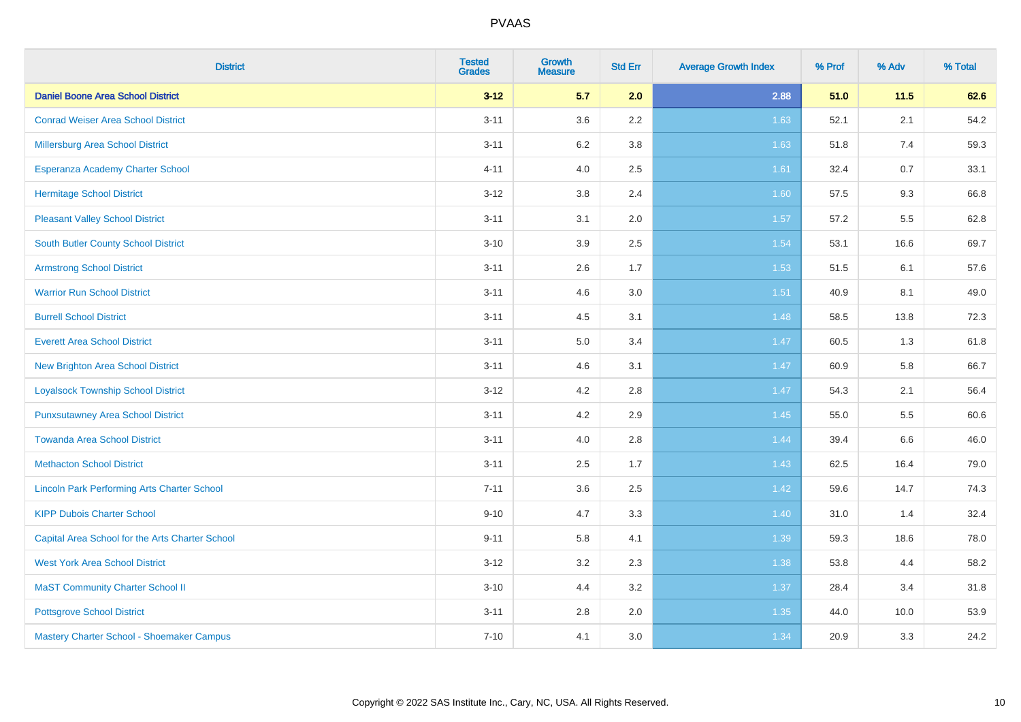| <b>District</b>                                    | <b>Tested</b><br><b>Grades</b> | <b>Growth</b><br><b>Measure</b> | <b>Std Err</b> | <b>Average Growth Index</b> | % Prof | % Adv | % Total |
|----------------------------------------------------|--------------------------------|---------------------------------|----------------|-----------------------------|--------|-------|---------|
| <b>Daniel Boone Area School District</b>           | $3 - 12$                       | 5.7                             | 2.0            | 2.88                        | 51.0   | 11.5  | 62.6    |
| <b>Conrad Weiser Area School District</b>          | $3 - 11$                       | 3.6                             | 2.2            | 1.63                        | 52.1   | 2.1   | 54.2    |
| Millersburg Area School District                   | $3 - 11$                       | $6.2\,$                         | 3.8            | 1.63                        | 51.8   | 7.4   | 59.3    |
| Esperanza Academy Charter School                   | $4 - 11$                       | 4.0                             | 2.5            | 1.61                        | 32.4   | 0.7   | 33.1    |
| <b>Hermitage School District</b>                   | $3 - 12$                       | 3.8                             | 2.4            | 1.60                        | 57.5   | 9.3   | 66.8    |
| <b>Pleasant Valley School District</b>             | $3 - 11$                       | 3.1                             | 2.0            | 1.57                        | 57.2   | 5.5   | 62.8    |
| <b>South Butler County School District</b>         | $3 - 10$                       | 3.9                             | 2.5            | 1.54                        | 53.1   | 16.6  | 69.7    |
| <b>Armstrong School District</b>                   | $3 - 11$                       | 2.6                             | 1.7            | 1.53                        | 51.5   | 6.1   | 57.6    |
| <b>Warrior Run School District</b>                 | $3 - 11$                       | 4.6                             | 3.0            | 1.51                        | 40.9   | 8.1   | 49.0    |
| <b>Burrell School District</b>                     | $3 - 11$                       | 4.5                             | 3.1            | 1.48                        | 58.5   | 13.8  | 72.3    |
| <b>Everett Area School District</b>                | $3 - 11$                       | 5.0                             | 3.4            | 1.47                        | 60.5   | 1.3   | 61.8    |
| <b>New Brighton Area School District</b>           | $3 - 11$                       | 4.6                             | 3.1            | 1.47                        | 60.9   | 5.8   | 66.7    |
| <b>Loyalsock Township School District</b>          | $3 - 12$                       | 4.2                             | 2.8            | 1.47                        | 54.3   | 2.1   | 56.4    |
| <b>Punxsutawney Area School District</b>           | $3 - 11$                       | 4.2                             | 2.9            | 1.45                        | 55.0   | 5.5   | 60.6    |
| <b>Towanda Area School District</b>                | $3 - 11$                       | 4.0                             | 2.8            | 1.44                        | 39.4   | 6.6   | 46.0    |
| <b>Methacton School District</b>                   | $3 - 11$                       | 2.5                             | 1.7            | 1.43                        | 62.5   | 16.4  | 79.0    |
| <b>Lincoln Park Performing Arts Charter School</b> | $7 - 11$                       | 3.6                             | 2.5            | 1.42                        | 59.6   | 14.7  | 74.3    |
| <b>KIPP Dubois Charter School</b>                  | $9 - 10$                       | 4.7                             | 3.3            | 1.40                        | 31.0   | 1.4   | 32.4    |
| Capital Area School for the Arts Charter School    | $9 - 11$                       | 5.8                             | 4.1            | 1.39                        | 59.3   | 18.6  | 78.0    |
| <b>West York Area School District</b>              | $3 - 12$                       | 3.2                             | 2.3            | 1.38                        | 53.8   | 4.4   | 58.2    |
| <b>MaST Community Charter School II</b>            | $3 - 10$                       | 4.4                             | 3.2            | 1.37                        | 28.4   | 3.4   | 31.8    |
| <b>Pottsgrove School District</b>                  | $3 - 11$                       | 2.8                             | 2.0            | 1.35                        | 44.0   | 10.0  | 53.9    |
| Mastery Charter School - Shoemaker Campus          | $7 - 10$                       | 4.1                             | 3.0            | 1.34                        | 20.9   | 3.3   | 24.2    |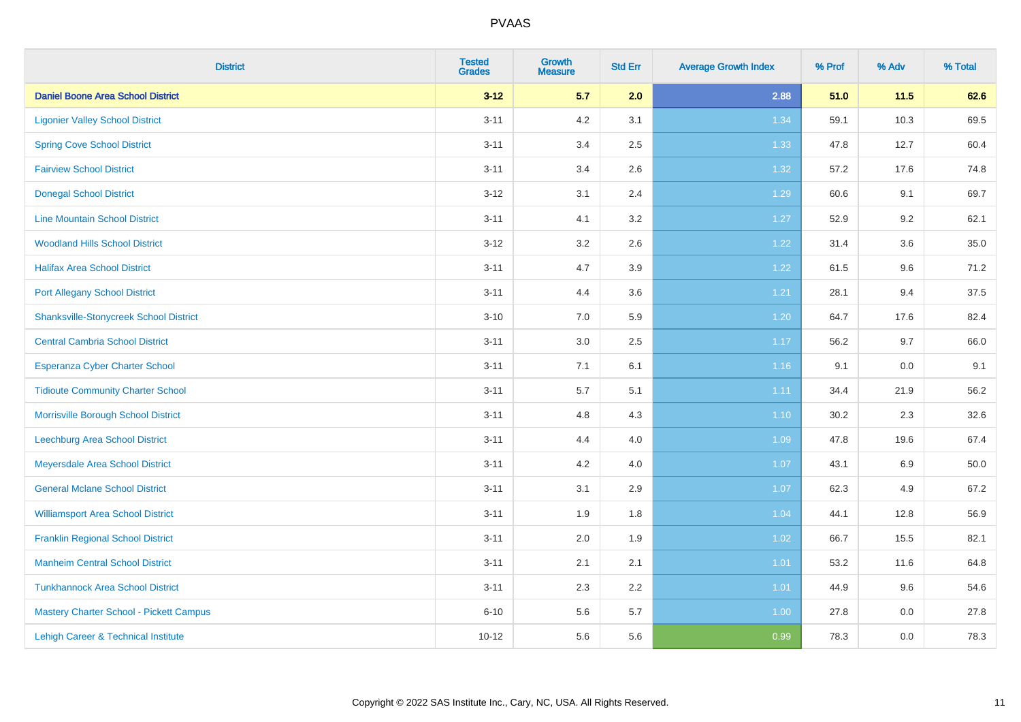| <b>District</b>                               | <b>Tested</b><br><b>Grades</b> | <b>Growth</b><br><b>Measure</b> | <b>Std Err</b> | <b>Average Growth Index</b> | % Prof | % Adv | % Total |
|-----------------------------------------------|--------------------------------|---------------------------------|----------------|-----------------------------|--------|-------|---------|
| <b>Daniel Boone Area School District</b>      | $3 - 12$                       | 5.7                             | 2.0            | 2.88                        | 51.0   | 11.5  | 62.6    |
| <b>Ligonier Valley School District</b>        | $3 - 11$                       | 4.2                             | 3.1            | 1.34                        | 59.1   | 10.3  | 69.5    |
| <b>Spring Cove School District</b>            | $3 - 11$                       | 3.4                             | 2.5            | 1.33                        | 47.8   | 12.7  | 60.4    |
| <b>Fairview School District</b>               | $3 - 11$                       | 3.4                             | 2.6            | 1.32                        | 57.2   | 17.6  | 74.8    |
| <b>Donegal School District</b>                | $3 - 12$                       | 3.1                             | 2.4            | 1.29                        | 60.6   | 9.1   | 69.7    |
| <b>Line Mountain School District</b>          | $3 - 11$                       | 4.1                             | 3.2            | 1.27                        | 52.9   | 9.2   | 62.1    |
| <b>Woodland Hills School District</b>         | $3 - 12$                       | 3.2                             | 2.6            | 1.22                        | 31.4   | 3.6   | 35.0    |
| <b>Halifax Area School District</b>           | $3 - 11$                       | 4.7                             | 3.9            | 1.22                        | 61.5   | 9.6   | 71.2    |
| <b>Port Allegany School District</b>          | $3 - 11$                       | 4.4                             | 3.6            | 1.21                        | 28.1   | 9.4   | 37.5    |
| <b>Shanksville-Stonycreek School District</b> | $3 - 10$                       | 7.0                             | 5.9            | 1.20                        | 64.7   | 17.6  | 82.4    |
| <b>Central Cambria School District</b>        | $3 - 11$                       | 3.0                             | 2.5            | 1.17                        | 56.2   | 9.7   | 66.0    |
| Esperanza Cyber Charter School                | $3 - 11$                       | 7.1                             | 6.1            | 1.16                        | 9.1    | 0.0   | 9.1     |
| <b>Tidioute Community Charter School</b>      | $3 - 11$                       | $5.7\,$                         | 5.1            | 1.11                        | 34.4   | 21.9  | 56.2    |
| Morrisville Borough School District           | $3 - 11$                       | 4.8                             | 4.3            | 1.10                        | 30.2   | 2.3   | 32.6    |
| <b>Leechburg Area School District</b>         | $3 - 11$                       | 4.4                             | 4.0            | 1.09                        | 47.8   | 19.6  | 67.4    |
| Meyersdale Area School District               | $3 - 11$                       | 4.2                             | 4.0            | 1.07                        | 43.1   | 6.9   | 50.0    |
| <b>General Mclane School District</b>         | $3 - 11$                       | 3.1                             | 2.9            | 1.07                        | 62.3   | 4.9   | 67.2    |
| <b>Williamsport Area School District</b>      | $3 - 11$                       | 1.9                             | 1.8            | 1.04                        | 44.1   | 12.8  | 56.9    |
| <b>Franklin Regional School District</b>      | $3 - 11$                       | 2.0                             | 1.9            | 1.02                        | 66.7   | 15.5  | 82.1    |
| <b>Manheim Central School District</b>        | $3 - 11$                       | 2.1                             | 2.1            | $1.01$                      | 53.2   | 11.6  | 64.8    |
| <b>Tunkhannock Area School District</b>       | $3 - 11$                       | 2.3                             | 2.2            | 1.01                        | 44.9   | 9.6   | 54.6    |
| Mastery Charter School - Pickett Campus       | $6 - 10$                       | 5.6                             | 5.7            | 1.00                        | 27.8   | 0.0   | 27.8    |
| Lehigh Career & Technical Institute           | $10 - 12$                      | 5.6                             | 5.6            | 0.99                        | 78.3   | 0.0   | 78.3    |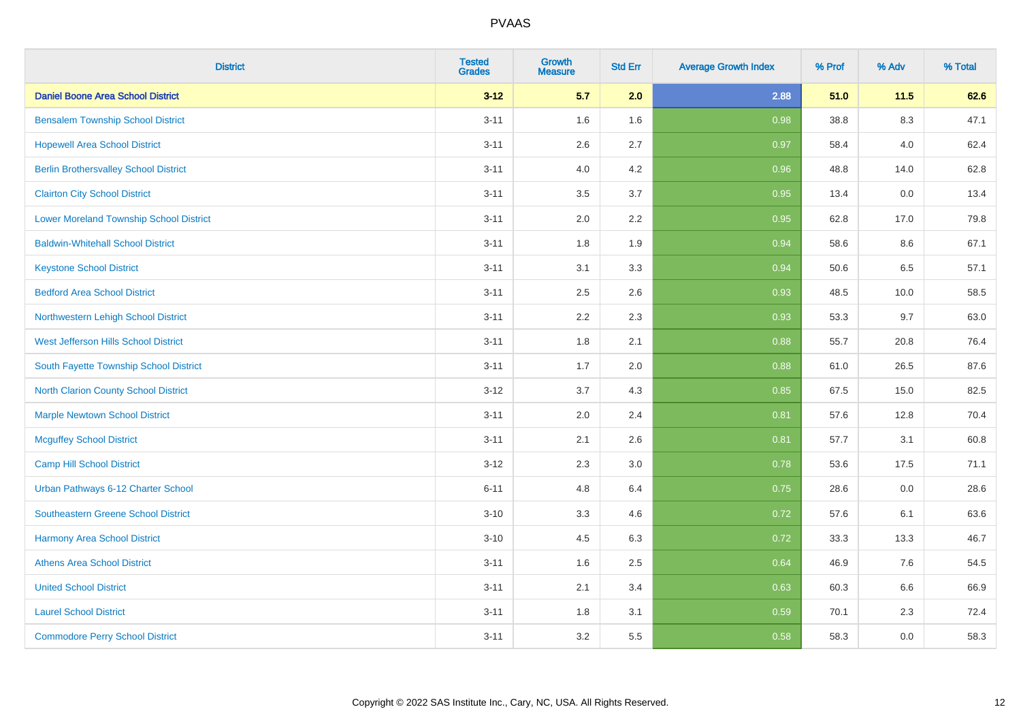| <b>District</b>                              | <b>Tested</b><br><b>Grades</b> | <b>Growth</b><br><b>Measure</b> | <b>Std Err</b> | <b>Average Growth Index</b> | % Prof | % Adv   | % Total |
|----------------------------------------------|--------------------------------|---------------------------------|----------------|-----------------------------|--------|---------|---------|
| <b>Daniel Boone Area School District</b>     | $3 - 12$                       | 5.7                             | 2.0            | 2.88                        | 51.0   | 11.5    | 62.6    |
| <b>Bensalem Township School District</b>     | $3 - 11$                       | 1.6                             | 1.6            | 0.98                        | 38.8   | $8.3\,$ | 47.1    |
| <b>Hopewell Area School District</b>         | $3 - 11$                       | 2.6                             | 2.7            | 0.97                        | 58.4   | 4.0     | 62.4    |
| <b>Berlin Brothersvalley School District</b> | $3 - 11$                       | 4.0                             | 4.2            | 0.96                        | 48.8   | 14.0    | 62.8    |
| <b>Clairton City School District</b>         | $3 - 11$                       | 3.5                             | 3.7            | 0.95                        | 13.4   | 0.0     | 13.4    |
| Lower Moreland Township School District      | $3 - 11$                       | 2.0                             | 2.2            | 0.95                        | 62.8   | 17.0    | 79.8    |
| <b>Baldwin-Whitehall School District</b>     | $3 - 11$                       | 1.8                             | 1.9            | 0.94                        | 58.6   | 8.6     | 67.1    |
| <b>Keystone School District</b>              | $3 - 11$                       | 3.1                             | 3.3            | 0.94                        | 50.6   | 6.5     | 57.1    |
| <b>Bedford Area School District</b>          | $3 - 11$                       | 2.5                             | 2.6            | 0.93                        | 48.5   | 10.0    | 58.5    |
| Northwestern Lehigh School District          | $3 - 11$                       | 2.2                             | 2.3            | 0.93                        | 53.3   | 9.7     | 63.0    |
| West Jefferson Hills School District         | $3 - 11$                       | 1.8                             | 2.1            | 0.88                        | 55.7   | 20.8    | 76.4    |
| South Fayette Township School District       | $3 - 11$                       | 1.7                             | 2.0            | 0.88                        | 61.0   | 26.5    | 87.6    |
| <b>North Clarion County School District</b>  | $3-12$                         | 3.7                             | 4.3            | 0.85                        | 67.5   | 15.0    | 82.5    |
| <b>Marple Newtown School District</b>        | $3 - 11$                       | 2.0                             | 2.4            | 0.81                        | 57.6   | 12.8    | 70.4    |
| <b>Mcguffey School District</b>              | $3 - 11$                       | 2.1                             | 2.6            | 0.81                        | 57.7   | 3.1     | 60.8    |
| Camp Hill School District                    | $3-12$                         | 2.3                             | 3.0            | 0.78                        | 53.6   | 17.5    | 71.1    |
| Urban Pathways 6-12 Charter School           | $6 - 11$                       | 4.8                             | 6.4            | 0.75                        | 28.6   | 0.0     | 28.6    |
| Southeastern Greene School District          | $3 - 10$                       | 3.3                             | 4.6            | 0.72                        | 57.6   | 6.1     | 63.6    |
| <b>Harmony Area School District</b>          | $3 - 10$                       | 4.5                             | 6.3            | 0.72                        | 33.3   | 13.3    | 46.7    |
| <b>Athens Area School District</b>           | $3 - 11$                       | 1.6                             | 2.5            | 0.64                        | 46.9   | 7.6     | 54.5    |
| <b>United School District</b>                | $3 - 11$                       | 2.1                             | 3.4            | 0.63                        | 60.3   | 6.6     | 66.9    |
| <b>Laurel School District</b>                | $3 - 11$                       | 1.8                             | 3.1            | 0.59                        | 70.1   | 2.3     | 72.4    |
| <b>Commodore Perry School District</b>       | $3 - 11$                       | 3.2                             | 5.5            | 0.58                        | 58.3   | 0.0     | 58.3    |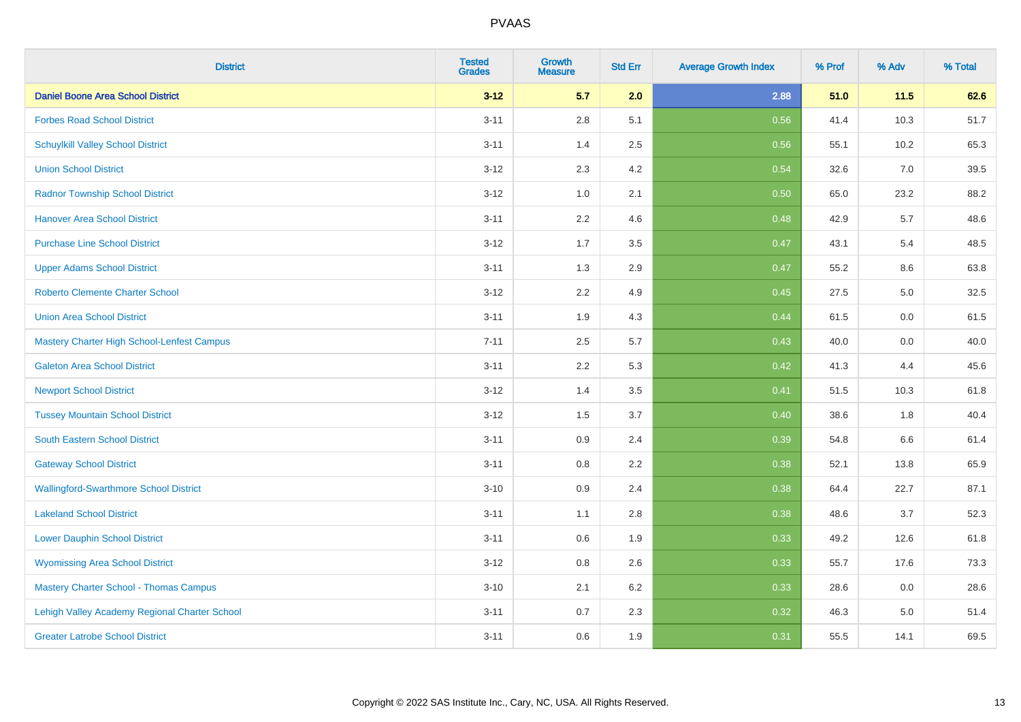| <b>District</b>                               | <b>Tested</b><br><b>Grades</b> | <b>Growth</b><br><b>Measure</b> | <b>Std Err</b> | <b>Average Growth Index</b> | % Prof | % Adv | % Total |
|-----------------------------------------------|--------------------------------|---------------------------------|----------------|-----------------------------|--------|-------|---------|
| <b>Daniel Boone Area School District</b>      | $3 - 12$                       | 5.7                             | 2.0            | 2.88                        | 51.0   | 11.5  | 62.6    |
| <b>Forbes Road School District</b>            | $3 - 11$                       | 2.8                             | 5.1            | 0.56                        | 41.4   | 10.3  | 51.7    |
| <b>Schuylkill Valley School District</b>      | $3 - 11$                       | 1.4                             | 2.5            | 0.56                        | 55.1   | 10.2  | 65.3    |
| <b>Union School District</b>                  | $3 - 12$                       | 2.3                             | 4.2            | 0.54                        | 32.6   | 7.0   | 39.5    |
| <b>Radnor Township School District</b>        | $3 - 12$                       | 1.0                             | 2.1            | 0.50                        | 65.0   | 23.2  | 88.2    |
| <b>Hanover Area School District</b>           | $3 - 11$                       | 2.2                             | 4.6            | 0.48                        | 42.9   | 5.7   | 48.6    |
| <b>Purchase Line School District</b>          | $3 - 12$                       | 1.7                             | 3.5            | 0.47                        | 43.1   | 5.4   | 48.5    |
| <b>Upper Adams School District</b>            | $3 - 11$                       | 1.3                             | 2.9            | 0.47                        | 55.2   | 8.6   | 63.8    |
| Roberto Clemente Charter School               | $3 - 12$                       | 2.2                             | 4.9            | 0.45                        | 27.5   | 5.0   | 32.5    |
| <b>Union Area School District</b>             | $3 - 11$                       | 1.9                             | 4.3            | 0.44                        | 61.5   | 0.0   | 61.5    |
| Mastery Charter High School-Lenfest Campus    | $7 - 11$                       | 2.5                             | 5.7            | 0.43                        | 40.0   | 0.0   | 40.0    |
| <b>Galeton Area School District</b>           | $3 - 11$                       | 2.2                             | 5.3            | 0.42                        | 41.3   | 4.4   | 45.6    |
| <b>Newport School District</b>                | $3 - 12$                       | 1.4                             | 3.5            | 0.41                        | 51.5   | 10.3  | 61.8    |
| <b>Tussey Mountain School District</b>        | $3 - 12$                       | 1.5                             | 3.7            | 0.40                        | 38.6   | 1.8   | 40.4    |
| South Eastern School District                 | $3 - 11$                       | 0.9                             | 2.4            | 0.39                        | 54.8   | 6.6   | 61.4    |
| <b>Gateway School District</b>                | $3 - 11$                       | 0.8                             | 2.2            | 0.38                        | 52.1   | 13.8  | 65.9    |
| <b>Wallingford-Swarthmore School District</b> | $3 - 10$                       | 0.9                             | 2.4            | 0.38                        | 64.4   | 22.7  | 87.1    |
| <b>Lakeland School District</b>               | $3 - 11$                       | 1.1                             | 2.8            | 0.38                        | 48.6   | 3.7   | 52.3    |
| <b>Lower Dauphin School District</b>          | $3 - 11$                       | 0.6                             | 1.9            | 0.33                        | 49.2   | 12.6  | 61.8    |
| <b>Wyomissing Area School District</b>        | $3 - 12$                       | 0.8                             | 2.6            | 0.33                        | 55.7   | 17.6  | 73.3    |
| <b>Mastery Charter School - Thomas Campus</b> | $3 - 10$                       | 2.1                             | 6.2            | 0.33                        | 28.6   | 0.0   | 28.6    |
| Lehigh Valley Academy Regional Charter School | $3 - 11$                       | 0.7                             | 2.3            | 0.32                        | 46.3   | 5.0   | 51.4    |
| <b>Greater Latrobe School District</b>        | $3 - 11$                       | 0.6                             | 1.9            | 0.31                        | 55.5   | 14.1  | 69.5    |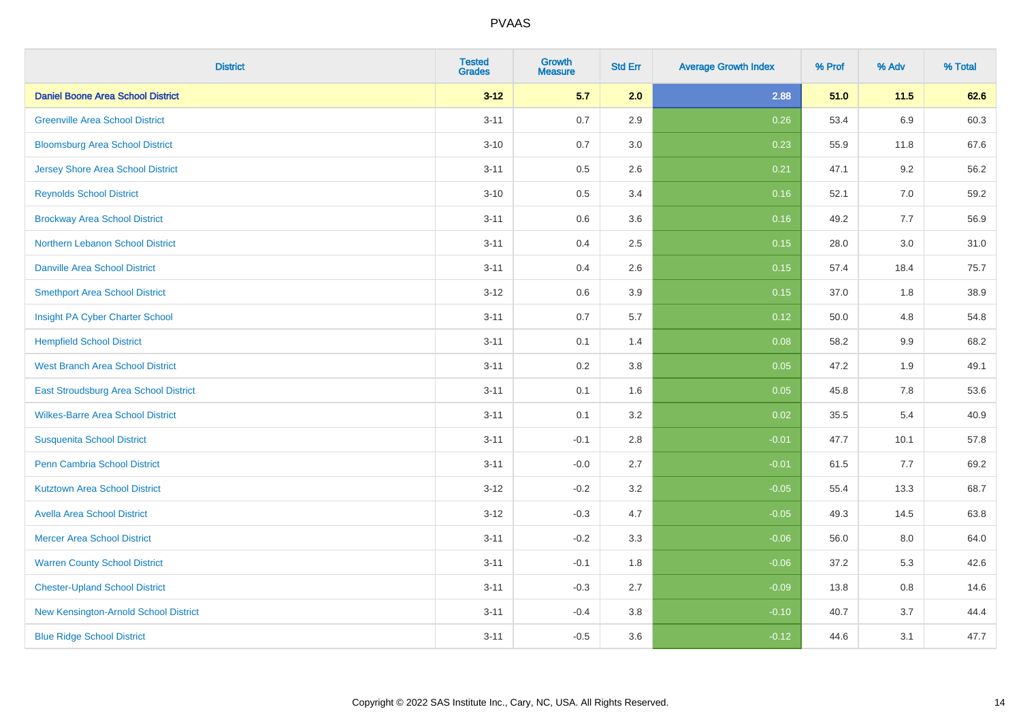| <b>District</b>                          | <b>Tested</b><br><b>Grades</b> | Growth<br><b>Measure</b> | <b>Std Err</b> | <b>Average Growth Index</b> | % Prof | % Adv   | % Total |
|------------------------------------------|--------------------------------|--------------------------|----------------|-----------------------------|--------|---------|---------|
| <b>Daniel Boone Area School District</b> | $3 - 12$                       | 5.7                      | 2.0            | 2.88                        | 51.0   | 11.5    | 62.6    |
| <b>Greenville Area School District</b>   | $3 - 11$                       | 0.7                      | 2.9            | 0.26                        | 53.4   | 6.9     | 60.3    |
| <b>Bloomsburg Area School District</b>   | $3 - 10$                       | 0.7                      | 3.0            | 0.23                        | 55.9   | 11.8    | 67.6    |
| <b>Jersey Shore Area School District</b> | $3 - 11$                       | 0.5                      | 2.6            | 0.21                        | 47.1   | 9.2     | 56.2    |
| <b>Reynolds School District</b>          | $3 - 10$                       | 0.5                      | 3.4            | 0.16                        | 52.1   | 7.0     | 59.2    |
| <b>Brockway Area School District</b>     | $3 - 11$                       | 0.6                      | 3.6            | 0.16                        | 49.2   | 7.7     | 56.9    |
| Northern Lebanon School District         | $3 - 11$                       | 0.4                      | 2.5            | 0.15                        | 28.0   | 3.0     | 31.0    |
| <b>Danville Area School District</b>     | $3 - 11$                       | 0.4                      | 2.6            | 0.15                        | 57.4   | 18.4    | 75.7    |
| <b>Smethport Area School District</b>    | $3 - 12$                       | 0.6                      | 3.9            | 0.15                        | 37.0   | 1.8     | 38.9    |
| Insight PA Cyber Charter School          | $3 - 11$                       | 0.7                      | 5.7            | 0.12                        | 50.0   | 4.8     | 54.8    |
| <b>Hempfield School District</b>         | $3 - 11$                       | 0.1                      | 1.4            | 0.08                        | 58.2   | 9.9     | 68.2    |
| <b>West Branch Area School District</b>  | $3 - 11$                       | 0.2                      | 3.8            | 0.05                        | 47.2   | 1.9     | 49.1    |
| East Stroudsburg Area School District    | $3 - 11$                       | 0.1                      | 1.6            | 0.05                        | 45.8   | $7.8\,$ | 53.6    |
| <b>Wilkes-Barre Area School District</b> | $3 - 11$                       | 0.1                      | 3.2            | 0.02                        | 35.5   | 5.4     | 40.9    |
| <b>Susquenita School District</b>        | $3 - 11$                       | $-0.1$                   | 2.8            | $-0.01$                     | 47.7   | 10.1    | 57.8    |
| <b>Penn Cambria School District</b>      | $3 - 11$                       | $-0.0$                   | 2.7            | $-0.01$                     | 61.5   | 7.7     | 69.2    |
| <b>Kutztown Area School District</b>     | $3 - 12$                       | $-0.2$                   | 3.2            | $-0.05$                     | 55.4   | 13.3    | 68.7    |
| <b>Avella Area School District</b>       | $3 - 12$                       | $-0.3$                   | 4.7            | $-0.05$                     | 49.3   | 14.5    | 63.8    |
| <b>Mercer Area School District</b>       | $3 - 11$                       | $-0.2$                   | 3.3            | $-0.06$                     | 56.0   | 8.0     | 64.0    |
| <b>Warren County School District</b>     | $3 - 11$                       | $-0.1$                   | 1.8            | $-0.06$                     | 37.2   | 5.3     | 42.6    |
| <b>Chester-Upland School District</b>    | $3 - 11$                       | $-0.3$                   | 2.7            | $-0.09$                     | 13.8   | 0.8     | 14.6    |
| New Kensington-Arnold School District    | $3 - 11$                       | $-0.4$                   | 3.8            | $-0.10$                     | 40.7   | 3.7     | 44.4    |
| <b>Blue Ridge School District</b>        | $3 - 11$                       | $-0.5$                   | 3.6            | $-0.12$                     | 44.6   | 3.1     | 47.7    |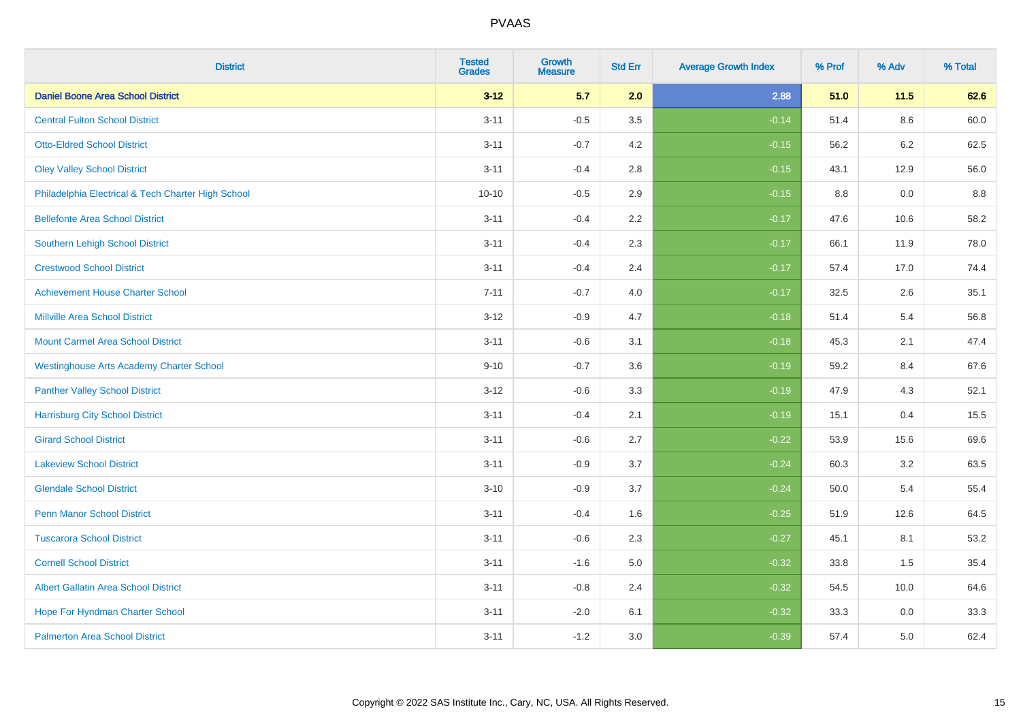| <b>District</b>                                    | <b>Tested</b><br><b>Grades</b> | <b>Growth</b><br><b>Measure</b> | <b>Std Err</b> | <b>Average Growth Index</b> | % Prof | % Adv | % Total |
|----------------------------------------------------|--------------------------------|---------------------------------|----------------|-----------------------------|--------|-------|---------|
| <b>Daniel Boone Area School District</b>           | $3 - 12$                       | 5.7                             | 2.0            | 2.88                        | 51.0   | 11.5  | 62.6    |
| <b>Central Fulton School District</b>              | $3 - 11$                       | $-0.5$                          | 3.5            | $-0.14$                     | 51.4   | 8.6   | 60.0    |
| <b>Otto-Eldred School District</b>                 | $3 - 11$                       | $-0.7$                          | 4.2            | $-0.15$                     | 56.2   | 6.2   | 62.5    |
| <b>Oley Valley School District</b>                 | $3 - 11$                       | $-0.4$                          | 2.8            | $-0.15$                     | 43.1   | 12.9  | 56.0    |
| Philadelphia Electrical & Tech Charter High School | $10 - 10$                      | $-0.5$                          | 2.9            | $-0.15$                     | 8.8    | 0.0   | 8.8     |
| <b>Bellefonte Area School District</b>             | $3 - 11$                       | $-0.4$                          | 2.2            | $-0.17$                     | 47.6   | 10.6  | 58.2    |
| <b>Southern Lehigh School District</b>             | $3 - 11$                       | $-0.4$                          | 2.3            | $-0.17$                     | 66.1   | 11.9  | 78.0    |
| <b>Crestwood School District</b>                   | $3 - 11$                       | $-0.4$                          | 2.4            | $-0.17$                     | 57.4   | 17.0  | 74.4    |
| <b>Achievement House Charter School</b>            | $7 - 11$                       | $-0.7$                          | 4.0            | $-0.17$                     | 32.5   | 2.6   | 35.1    |
| <b>Millville Area School District</b>              | $3-12$                         | $-0.9$                          | 4.7            | $-0.18$                     | 51.4   | 5.4   | 56.8    |
| <b>Mount Carmel Area School District</b>           | $3 - 11$                       | $-0.6$                          | 3.1            | $-0.18$                     | 45.3   | 2.1   | 47.4    |
| <b>Westinghouse Arts Academy Charter School</b>    | $9 - 10$                       | $-0.7$                          | 3.6            | $-0.19$                     | 59.2   | 8.4   | 67.6    |
| <b>Panther Valley School District</b>              | $3 - 12$                       | $-0.6$                          | 3.3            | $-0.19$                     | 47.9   | 4.3   | 52.1    |
| <b>Harrisburg City School District</b>             | $3 - 11$                       | $-0.4$                          | 2.1            | $-0.19$                     | 15.1   | 0.4   | 15.5    |
| <b>Girard School District</b>                      | $3 - 11$                       | $-0.6$                          | 2.7            | $-0.22$                     | 53.9   | 15.6  | 69.6    |
| <b>Lakeview School District</b>                    | $3 - 11$                       | $-0.9$                          | 3.7            | $-0.24$                     | 60.3   | 3.2   | 63.5    |
| <b>Glendale School District</b>                    | $3 - 10$                       | $-0.9$                          | 3.7            | $-0.24$                     | 50.0   | 5.4   | 55.4    |
| <b>Penn Manor School District</b>                  | $3 - 11$                       | $-0.4$                          | 1.6            | $-0.25$                     | 51.9   | 12.6  | 64.5    |
| <b>Tuscarora School District</b>                   | $3 - 11$                       | $-0.6$                          | 2.3            | $-0.27$                     | 45.1   | 8.1   | 53.2    |
| <b>Cornell School District</b>                     | $3 - 11$                       | $-1.6$                          | 5.0            | $-0.32$                     | 33.8   | 1.5   | 35.4    |
| <b>Albert Gallatin Area School District</b>        | $3 - 11$                       | $-0.8$                          | 2.4            | $-0.32$                     | 54.5   | 10.0  | 64.6    |
| Hope For Hyndman Charter School                    | $3 - 11$                       | $-2.0$                          | 6.1            | $-0.32$                     | 33.3   | 0.0   | 33.3    |
| <b>Palmerton Area School District</b>              | $3 - 11$                       | $-1.2$                          | 3.0            | $-0.39$                     | 57.4   | 5.0   | 62.4    |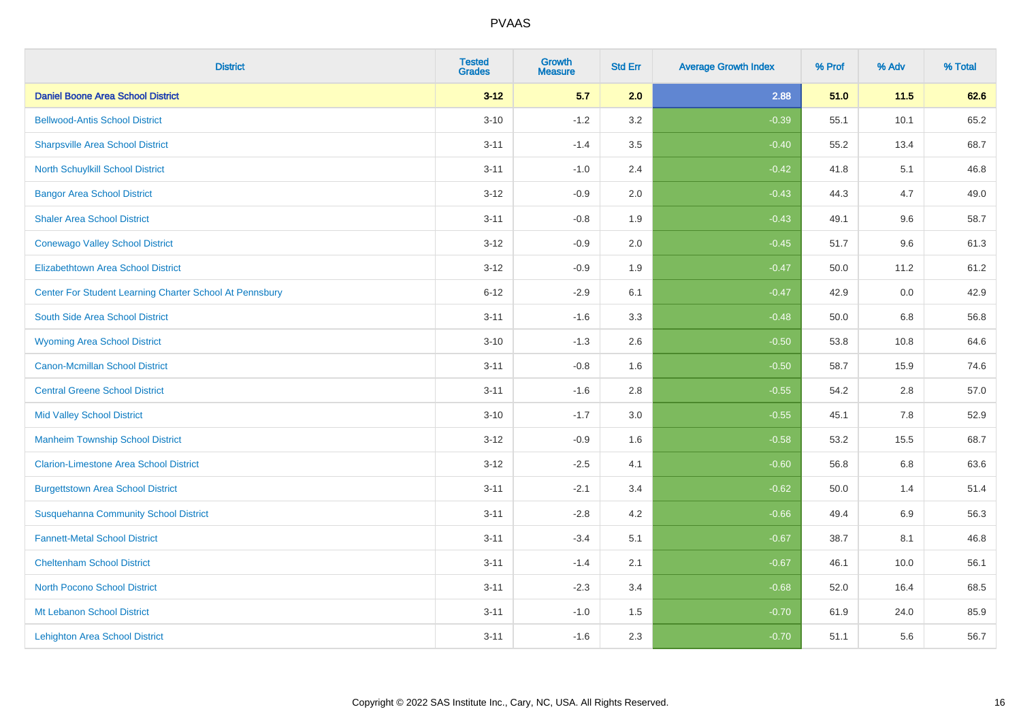| <b>District</b>                                         | <b>Tested</b><br><b>Grades</b> | <b>Growth</b><br><b>Measure</b> | <b>Std Err</b> | <b>Average Growth Index</b> | % Prof | % Adv | % Total |
|---------------------------------------------------------|--------------------------------|---------------------------------|----------------|-----------------------------|--------|-------|---------|
| <b>Daniel Boone Area School District</b>                | $3 - 12$                       | 5.7                             | 2.0            | 2.88                        | 51.0   | 11.5  | 62.6    |
| <b>Bellwood-Antis School District</b>                   | $3 - 10$                       | $-1.2$                          | 3.2            | $-0.39$                     | 55.1   | 10.1  | 65.2    |
| <b>Sharpsville Area School District</b>                 | $3 - 11$                       | $-1.4$                          | 3.5            | $-0.40$                     | 55.2   | 13.4  | 68.7    |
| North Schuylkill School District                        | $3 - 11$                       | $-1.0$                          | 2.4            | $-0.42$                     | 41.8   | 5.1   | 46.8    |
| <b>Bangor Area School District</b>                      | $3 - 12$                       | $-0.9$                          | 2.0            | $-0.43$                     | 44.3   | 4.7   | 49.0    |
| <b>Shaler Area School District</b>                      | $3 - 11$                       | $-0.8$                          | 1.9            | $-0.43$                     | 49.1   | 9.6   | 58.7    |
| <b>Conewago Valley School District</b>                  | $3 - 12$                       | $-0.9$                          | 2.0            | $-0.45$                     | 51.7   | 9.6   | 61.3    |
| <b>Elizabethtown Area School District</b>               | $3 - 12$                       | $-0.9$                          | 1.9            | $-0.47$                     | 50.0   | 11.2  | 61.2    |
| Center For Student Learning Charter School At Pennsbury | $6 - 12$                       | $-2.9$                          | 6.1            | $-0.47$                     | 42.9   | 0.0   | 42.9    |
| South Side Area School District                         | $3 - 11$                       | $-1.6$                          | 3.3            | $-0.48$                     | 50.0   | 6.8   | 56.8    |
| <b>Wyoming Area School District</b>                     | $3 - 10$                       | $-1.3$                          | 2.6            | $-0.50$                     | 53.8   | 10.8  | 64.6    |
| Canon-Mcmillan School District                          | $3 - 11$                       | $-0.8$                          | 1.6            | $-0.50$                     | 58.7   | 15.9  | 74.6    |
| <b>Central Greene School District</b>                   | $3 - 11$                       | $-1.6$                          | 2.8            | $-0.55$                     | 54.2   | 2.8   | 57.0    |
| <b>Mid Valley School District</b>                       | $3 - 10$                       | $-1.7$                          | 3.0            | $-0.55$                     | 45.1   | 7.8   | 52.9    |
| <b>Manheim Township School District</b>                 | $3 - 12$                       | $-0.9$                          | 1.6            | $-0.58$                     | 53.2   | 15.5  | 68.7    |
| <b>Clarion-Limestone Area School District</b>           | $3 - 12$                       | $-2.5$                          | 4.1            | $-0.60$                     | 56.8   | 6.8   | 63.6    |
| <b>Burgettstown Area School District</b>                | $3 - 11$                       | $-2.1$                          | 3.4            | $-0.62$                     | 50.0   | 1.4   | 51.4    |
| <b>Susquehanna Community School District</b>            | $3 - 11$                       | $-2.8$                          | 4.2            | $-0.66$                     | 49.4   | 6.9   | 56.3    |
| <b>Fannett-Metal School District</b>                    | $3 - 11$                       | $-3.4$                          | 5.1            | $-0.67$                     | 38.7   | 8.1   | 46.8    |
| <b>Cheltenham School District</b>                       | $3 - 11$                       | $-1.4$                          | 2.1            | $-0.67$                     | 46.1   | 10.0  | 56.1    |
| <b>North Pocono School District</b>                     | $3 - 11$                       | $-2.3$                          | 3.4            | $-0.68$                     | 52.0   | 16.4  | 68.5    |
| Mt Lebanon School District                              | $3 - 11$                       | $-1.0$                          | 1.5            | $-0.70$                     | 61.9   | 24.0  | 85.9    |
| <b>Lehighton Area School District</b>                   | $3 - 11$                       | $-1.6$                          | 2.3            | $-0.70$                     | 51.1   | 5.6   | 56.7    |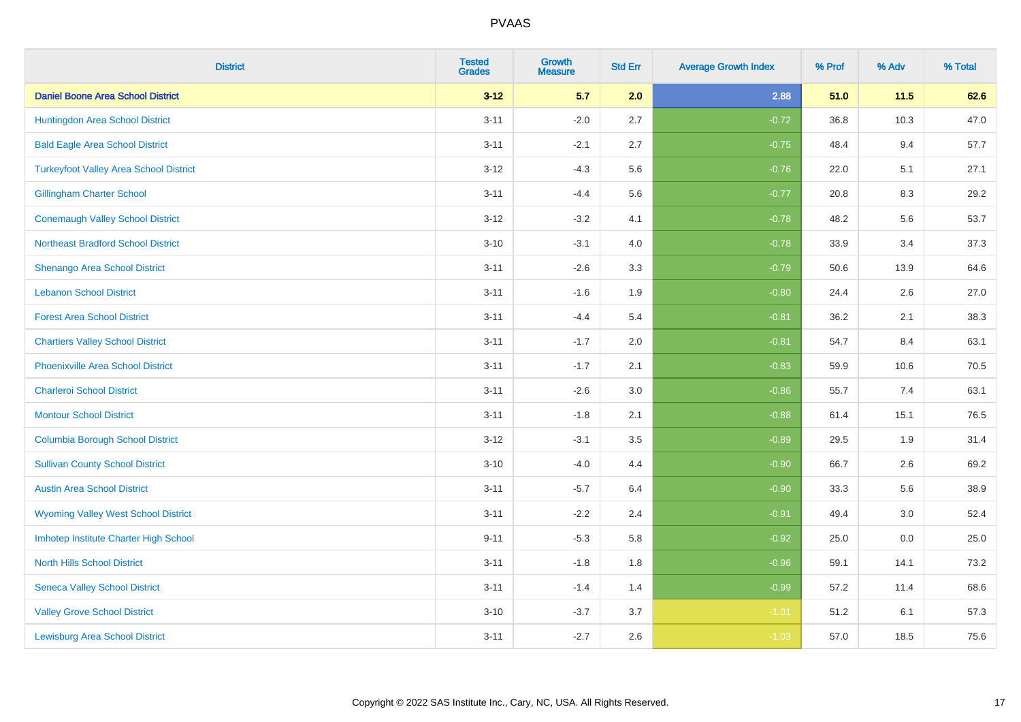| <b>District</b>                               | <b>Tested</b><br><b>Grades</b> | <b>Growth</b><br><b>Measure</b> | <b>Std Err</b> | <b>Average Growth Index</b> | % Prof | % Adv | % Total |
|-----------------------------------------------|--------------------------------|---------------------------------|----------------|-----------------------------|--------|-------|---------|
| <b>Daniel Boone Area School District</b>      | $3 - 12$                       | 5.7                             | 2.0            | 2.88                        | 51.0   | 11.5  | 62.6    |
| Huntingdon Area School District               | $3 - 11$                       | $-2.0$                          | 2.7            | $-0.72$                     | 36.8   | 10.3  | 47.0    |
| <b>Bald Eagle Area School District</b>        | $3 - 11$                       | $-2.1$                          | 2.7            | $-0.75$                     | 48.4   | 9.4   | 57.7    |
| <b>Turkeyfoot Valley Area School District</b> | $3-12$                         | $-4.3$                          | 5.6            | $-0.76$                     | 22.0   | 5.1   | 27.1    |
| <b>Gillingham Charter School</b>              | $3 - 11$                       | $-4.4$                          | 5.6            | $-0.77$                     | 20.8   | 8.3   | 29.2    |
| <b>Conemaugh Valley School District</b>       | $3 - 12$                       | $-3.2$                          | 4.1            | $-0.78$                     | 48.2   | 5.6   | 53.7    |
| <b>Northeast Bradford School District</b>     | $3 - 10$                       | $-3.1$                          | 4.0            | $-0.78$                     | 33.9   | 3.4   | 37.3    |
| Shenango Area School District                 | $3 - 11$                       | $-2.6$                          | 3.3            | $-0.79$                     | 50.6   | 13.9  | 64.6    |
| <b>Lebanon School District</b>                | $3 - 11$                       | $-1.6$                          | 1.9            | $-0.80$                     | 24.4   | 2.6   | 27.0    |
| <b>Forest Area School District</b>            | $3 - 11$                       | $-4.4$                          | 5.4            | $-0.81$                     | 36.2   | 2.1   | 38.3    |
| <b>Chartiers Valley School District</b>       | $3 - 11$                       | $-1.7$                          | 2.0            | $-0.81$                     | 54.7   | 8.4   | 63.1    |
| <b>Phoenixville Area School District</b>      | $3 - 11$                       | $-1.7$                          | 2.1            | $-0.83$                     | 59.9   | 10.6  | 70.5    |
| <b>Charleroi School District</b>              | $3 - 11$                       | $-2.6$                          | $3.0\,$        | $-0.86$                     | 55.7   | 7.4   | 63.1    |
| <b>Montour School District</b>                | $3 - 11$                       | $-1.8$                          | 2.1            | $-0.88$                     | 61.4   | 15.1  | 76.5    |
| <b>Columbia Borough School District</b>       | $3 - 12$                       | $-3.1$                          | 3.5            | $-0.89$                     | 29.5   | 1.9   | 31.4    |
| <b>Sullivan County School District</b>        | $3 - 10$                       | $-4.0$                          | 4.4            | $-0.90$                     | 66.7   | 2.6   | 69.2    |
| <b>Austin Area School District</b>            | $3 - 11$                       | $-5.7$                          | 6.4            | $-0.90$                     | 33.3   | 5.6   | 38.9    |
| <b>Wyoming Valley West School District</b>    | $3 - 11$                       | $-2.2$                          | 2.4            | $-0.91$                     | 49.4   | 3.0   | 52.4    |
| Imhotep Institute Charter High School         | $9 - 11$                       | $-5.3$                          | 5.8            | $-0.92$                     | 25.0   | 0.0   | 25.0    |
| <b>North Hills School District</b>            | $3 - 11$                       | $-1.8$                          | 1.8            | $-0.96$                     | 59.1   | 14.1  | 73.2    |
| <b>Seneca Valley School District</b>          | $3 - 11$                       | $-1.4$                          | 1.4            | $-0.99$                     | 57.2   | 11.4  | 68.6    |
| <b>Valley Grove School District</b>           | $3 - 10$                       | $-3.7$                          | 3.7            | $-1.01$                     | 51.2   | 6.1   | 57.3    |
| <b>Lewisburg Area School District</b>         | $3 - 11$                       | $-2.7$                          | 2.6            | $-1.03$                     | 57.0   | 18.5  | 75.6    |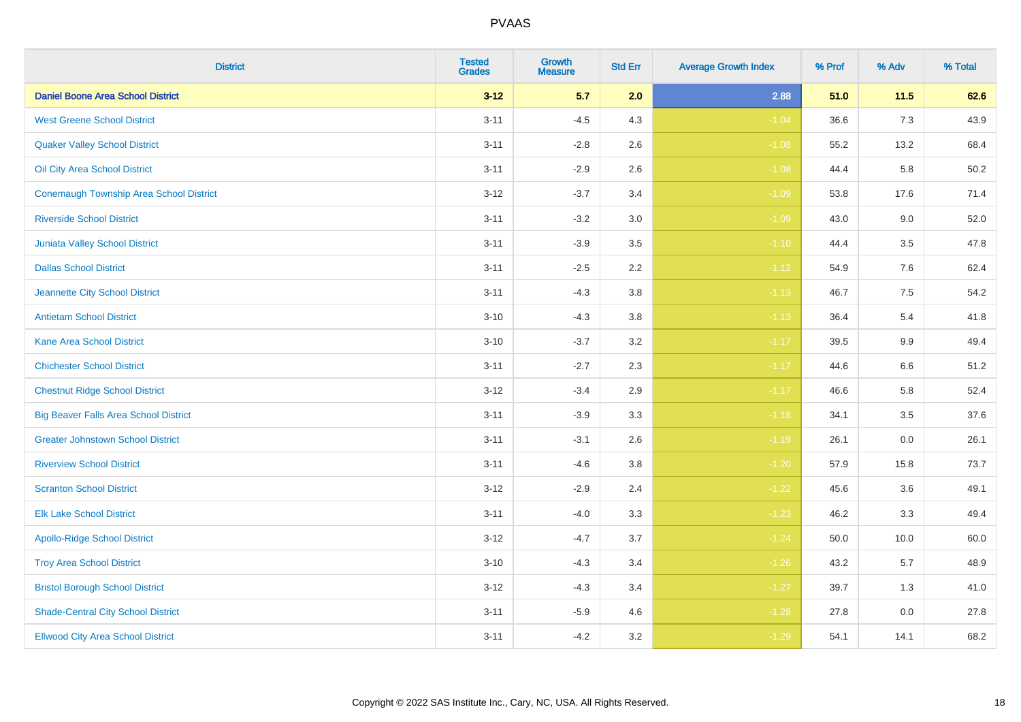| <b>District</b>                              | <b>Tested</b><br><b>Grades</b> | Growth<br><b>Measure</b> | <b>Std Err</b> | <b>Average Growth Index</b> | % Prof | % Adv | % Total |
|----------------------------------------------|--------------------------------|--------------------------|----------------|-----------------------------|--------|-------|---------|
| <b>Daniel Boone Area School District</b>     | $3 - 12$                       | 5.7                      | 2.0            | 2.88                        | 51.0   | 11.5  | 62.6    |
| <b>West Greene School District</b>           | $3 - 11$                       | $-4.5$                   | 4.3            | $-1.04$                     | 36.6   | 7.3   | 43.9    |
| <b>Quaker Valley School District</b>         | $3 - 11$                       | $-2.8$                   | $2.6\,$        | $-1.08$                     | 55.2   | 13.2  | 68.4    |
| Oil City Area School District                | $3 - 11$                       | $-2.9$                   | 2.6            | $-1.08$                     | 44.4   | 5.8   | 50.2    |
| Conemaugh Township Area School District      | $3 - 12$                       | $-3.7$                   | 3.4            | $-1.09$                     | 53.8   | 17.6  | 71.4    |
| <b>Riverside School District</b>             | $3 - 11$                       | $-3.2$                   | 3.0            | $-1.09$                     | 43.0   | 9.0   | 52.0    |
| <b>Juniata Valley School District</b>        | $3 - 11$                       | $-3.9$                   | 3.5            | $-1.10$                     | 44.4   | 3.5   | 47.8    |
| <b>Dallas School District</b>                | $3 - 11$                       | $-2.5$                   | 2.2            | $-1.12$                     | 54.9   | 7.6   | 62.4    |
| Jeannette City School District               | $3 - 11$                       | $-4.3$                   | 3.8            | $-1.13$                     | 46.7   | 7.5   | 54.2    |
| <b>Antietam School District</b>              | $3 - 10$                       | $-4.3$                   | $3.8\,$        | $-1.13$                     | 36.4   | 5.4   | 41.8    |
| <b>Kane Area School District</b>             | $3 - 10$                       | $-3.7$                   | 3.2            | $-1.17$                     | 39.5   | 9.9   | 49.4    |
| <b>Chichester School District</b>            | $3 - 11$                       | $-2.7$                   | 2.3            | $-1.17$                     | 44.6   | 6.6   | 51.2    |
| <b>Chestnut Ridge School District</b>        | $3 - 12$                       | $-3.4$                   | 2.9            | $-1.17$                     | 46.6   | 5.8   | 52.4    |
| <b>Big Beaver Falls Area School District</b> | $3 - 11$                       | $-3.9$                   | 3.3            | $-1.18$                     | 34.1   | 3.5   | 37.6    |
| <b>Greater Johnstown School District</b>     | $3 - 11$                       | $-3.1$                   | 2.6            | $-1.19$                     | 26.1   | 0.0   | 26.1    |
| <b>Riverview School District</b>             | $3 - 11$                       | $-4.6$                   | 3.8            | $-1.20$                     | 57.9   | 15.8  | 73.7    |
| <b>Scranton School District</b>              | $3 - 12$                       | $-2.9$                   | 2.4            | $-1.22$                     | 45.6   | 3.6   | 49.1    |
| <b>Elk Lake School District</b>              | $3 - 11$                       | $-4.0$                   | 3.3            | $-1.23$                     | 46.2   | 3.3   | 49.4    |
| <b>Apollo-Ridge School District</b>          | $3 - 12$                       | $-4.7$                   | 3.7            | $-1.24$                     | 50.0   | 10.0  | 60.0    |
| <b>Troy Area School District</b>             | $3 - 10$                       | $-4.3$                   | 3.4            | $-1.26$                     | 43.2   | 5.7   | 48.9    |
| <b>Bristol Borough School District</b>       | $3 - 12$                       | $-4.3$                   | 3.4            | $-1.27$                     | 39.7   | 1.3   | 41.0    |
| <b>Shade-Central City School District</b>    | $3 - 11$                       | $-5.9$                   | 4.6            | $-1.28$                     | 27.8   | 0.0   | 27.8    |
| <b>Ellwood City Area School District</b>     | $3 - 11$                       | $-4.2$                   | 3.2            | $-1.29$                     | 54.1   | 14.1  | 68.2    |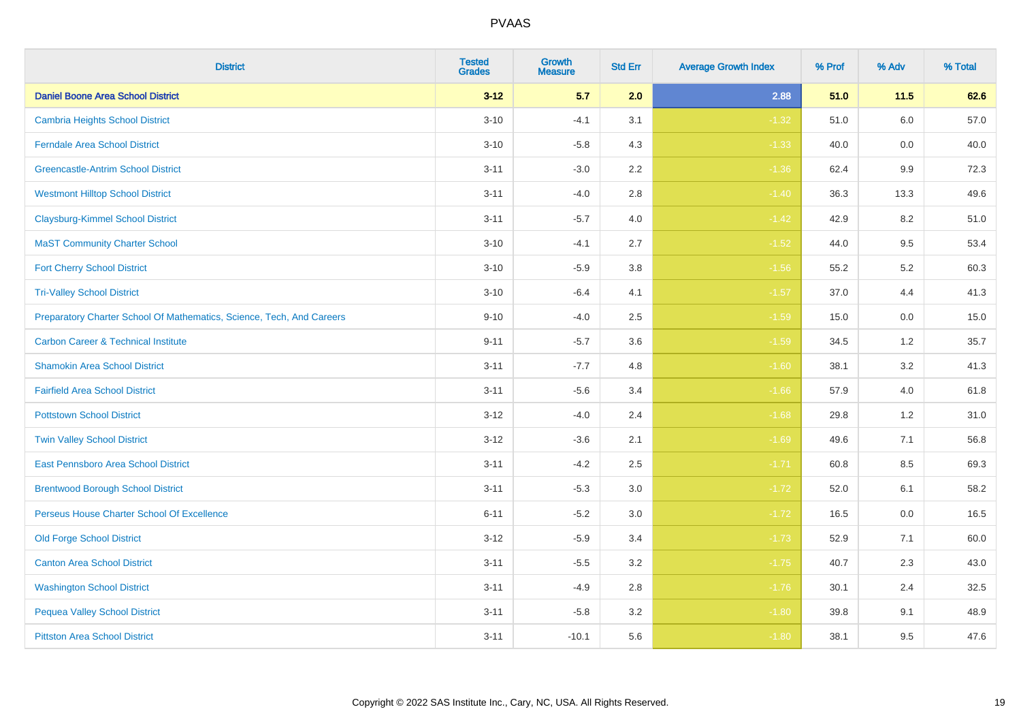| <b>District</b>                                                       | <b>Tested</b><br><b>Grades</b> | <b>Growth</b><br><b>Measure</b> | <b>Std Err</b> | <b>Average Growth Index</b> | % Prof | % Adv   | % Total |
|-----------------------------------------------------------------------|--------------------------------|---------------------------------|----------------|-----------------------------|--------|---------|---------|
| <b>Daniel Boone Area School District</b>                              | $3 - 12$                       | 5.7                             | 2.0            | 2.88                        | 51.0   | $11.5$  | 62.6    |
| <b>Cambria Heights School District</b>                                | $3 - 10$                       | $-4.1$                          | 3.1            | $-1.32$                     | 51.0   | $6.0\,$ | 57.0    |
| <b>Ferndale Area School District</b>                                  | $3 - 10$                       | $-5.8$                          | 4.3            | $-1.33$                     | 40.0   | 0.0     | 40.0    |
| <b>Greencastle-Antrim School District</b>                             | $3 - 11$                       | $-3.0$                          | 2.2            | $-1.36$                     | 62.4   | 9.9     | 72.3    |
| <b>Westmont Hilltop School District</b>                               | $3 - 11$                       | $-4.0$                          | 2.8            | $-1.40$                     | 36.3   | 13.3    | 49.6    |
| <b>Claysburg-Kimmel School District</b>                               | $3 - 11$                       | $-5.7$                          | 4.0            | $-1.42$                     | 42.9   | 8.2     | 51.0    |
| <b>MaST Community Charter School</b>                                  | $3 - 10$                       | $-4.1$                          | 2.7            | $-1.52$                     | 44.0   | 9.5     | 53.4    |
| <b>Fort Cherry School District</b>                                    | $3 - 10$                       | $-5.9$                          | 3.8            | $-1.56$                     | 55.2   | 5.2     | 60.3    |
| <b>Tri-Valley School District</b>                                     | $3 - 10$                       | $-6.4$                          | 4.1            | $-1.57$                     | 37.0   | 4.4     | 41.3    |
| Preparatory Charter School Of Mathematics, Science, Tech, And Careers | $9 - 10$                       | $-4.0$                          | 2.5            | $-1.59$                     | 15.0   | 0.0     | 15.0    |
| <b>Carbon Career &amp; Technical Institute</b>                        | $9 - 11$                       | $-5.7$                          | 3.6            | $-1.59$                     | 34.5   | $1.2$   | 35.7    |
| <b>Shamokin Area School District</b>                                  | $3 - 11$                       | $-7.7$                          | 4.8            | $-1.60$                     | 38.1   | 3.2     | 41.3    |
| <b>Fairfield Area School District</b>                                 | $3 - 11$                       | $-5.6$                          | 3.4            | $-1.66$                     | 57.9   | 4.0     | 61.8    |
| <b>Pottstown School District</b>                                      | $3 - 12$                       | $-4.0$                          | 2.4            | $-1.68$                     | 29.8   | 1.2     | 31.0    |
| <b>Twin Valley School District</b>                                    | $3 - 12$                       | $-3.6$                          | 2.1            | $-1.69$                     | 49.6   | 7.1     | 56.8    |
| <b>East Pennsboro Area School District</b>                            | $3 - 11$                       | $-4.2$                          | 2.5            | $-1.71$                     | 60.8   | 8.5     | 69.3    |
| <b>Brentwood Borough School District</b>                              | $3 - 11$                       | $-5.3$                          | 3.0            | $-1.72$                     | 52.0   | 6.1     | 58.2    |
| Perseus House Charter School Of Excellence                            | $6 - 11$                       | $-5.2$                          | 3.0            | $-1.72$                     | 16.5   | 0.0     | 16.5    |
| <b>Old Forge School District</b>                                      | $3 - 12$                       | $-5.9$                          | 3.4            | $-1.73$                     | 52.9   | 7.1     | 60.0    |
| <b>Canton Area School District</b>                                    | $3 - 11$                       | $-5.5$                          | 3.2            | $-1.75$                     | 40.7   | 2.3     | 43.0    |
| <b>Washington School District</b>                                     | $3 - 11$                       | $-4.9$                          | 2.8            | $-1.76$                     | 30.1   | 2.4     | 32.5    |
| <b>Pequea Valley School District</b>                                  | $3 - 11$                       | $-5.8$                          | 3.2            | $-1.80$                     | 39.8   | 9.1     | 48.9    |
| <b>Pittston Area School District</b>                                  | $3 - 11$                       | $-10.1$                         | 5.6            | $-1.80$                     | 38.1   | 9.5     | 47.6    |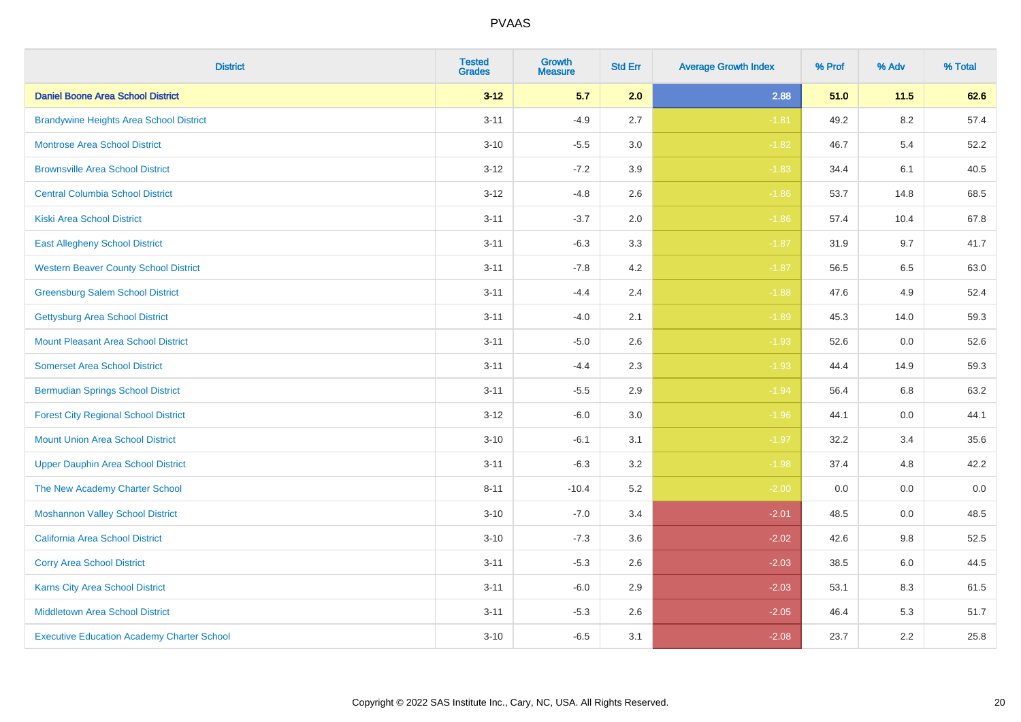| <b>District</b>                                   | <b>Tested</b><br><b>Grades</b> | <b>Growth</b><br><b>Measure</b> | <b>Std Err</b> | <b>Average Growth Index</b> | % Prof | % Adv   | % Total |
|---------------------------------------------------|--------------------------------|---------------------------------|----------------|-----------------------------|--------|---------|---------|
| <b>Daniel Boone Area School District</b>          | $3 - 12$                       | 5.7                             | 2.0            | 2.88                        | 51.0   | 11.5    | 62.6    |
| <b>Brandywine Heights Area School District</b>    | $3 - 11$                       | $-4.9$                          | 2.7            | $-1.81$                     | 49.2   | $8.2\,$ | 57.4    |
| <b>Montrose Area School District</b>              | $3 - 10$                       | $-5.5$                          | 3.0            | $-1.82$                     | 46.7   | 5.4     | 52.2    |
| <b>Brownsville Area School District</b>           | $3 - 12$                       | $-7.2$                          | 3.9            | $-1.83$                     | 34.4   | 6.1     | 40.5    |
| <b>Central Columbia School District</b>           | $3 - 12$                       | $-4.8$                          | 2.6            | $-1.86$                     | 53.7   | 14.8    | 68.5    |
| <b>Kiski Area School District</b>                 | $3 - 11$                       | $-3.7$                          | 2.0            | $-1.86$                     | 57.4   | 10.4    | 67.8    |
| <b>East Allegheny School District</b>             | $3 - 11$                       | $-6.3$                          | 3.3            | $-1.87$                     | 31.9   | 9.7     | 41.7    |
| <b>Western Beaver County School District</b>      | $3 - 11$                       | $-7.8$                          | 4.2            | $-1.87$                     | 56.5   | 6.5     | 63.0    |
| <b>Greensburg Salem School District</b>           | $3 - 11$                       | $-4.4$                          | 2.4            | $-1.88$                     | 47.6   | 4.9     | 52.4    |
| <b>Gettysburg Area School District</b>            | $3 - 11$                       | $-4.0$                          | 2.1            | $-1.89$                     | 45.3   | 14.0    | 59.3    |
| <b>Mount Pleasant Area School District</b>        | $3 - 11$                       | $-5.0$                          | 2.6            | $-1.93$                     | 52.6   | 0.0     | 52.6    |
| <b>Somerset Area School District</b>              | $3 - 11$                       | $-4.4$                          | 2.3            | $-1.93$                     | 44.4   | 14.9    | 59.3    |
| <b>Bermudian Springs School District</b>          | $3 - 11$                       | $-5.5$                          | 2.9            | $-1.94$                     | 56.4   | 6.8     | 63.2    |
| <b>Forest City Regional School District</b>       | $3 - 12$                       | $-6.0$                          | 3.0            | $-1.96$                     | 44.1   | 0.0     | 44.1    |
| <b>Mount Union Area School District</b>           | $3 - 10$                       | $-6.1$                          | 3.1            | $-1.97$                     | 32.2   | 3.4     | 35.6    |
| <b>Upper Dauphin Area School District</b>         | $3 - 11$                       | $-6.3$                          | 3.2            | $-1.98$                     | 37.4   | 4.8     | 42.2    |
| The New Academy Charter School                    | $8 - 11$                       | $-10.4$                         | 5.2            | $-2.00$                     | 0.0    | 0.0     | $0.0\,$ |
| <b>Moshannon Valley School District</b>           | $3 - 10$                       | $-7.0$                          | 3.4            | $-2.01$                     | 48.5   | 0.0     | 48.5    |
| <b>California Area School District</b>            | $3 - 10$                       | $-7.3$                          | 3.6            | $-2.02$                     | 42.6   | 9.8     | 52.5    |
| <b>Corry Area School District</b>                 | $3 - 11$                       | $-5.3$                          | 2.6            | $-2.03$                     | 38.5   | 6.0     | 44.5    |
| Karns City Area School District                   | $3 - 11$                       | $-6.0$                          | 2.9            | $-2.03$                     | 53.1   | 8.3     | 61.5    |
| <b>Middletown Area School District</b>            | $3 - 11$                       | $-5.3$                          | 2.6            | $-2.05$                     | 46.4   | 5.3     | 51.7    |
| <b>Executive Education Academy Charter School</b> | $3 - 10$                       | $-6.5$                          | 3.1            | $-2.08$                     | 23.7   | 2.2     | 25.8    |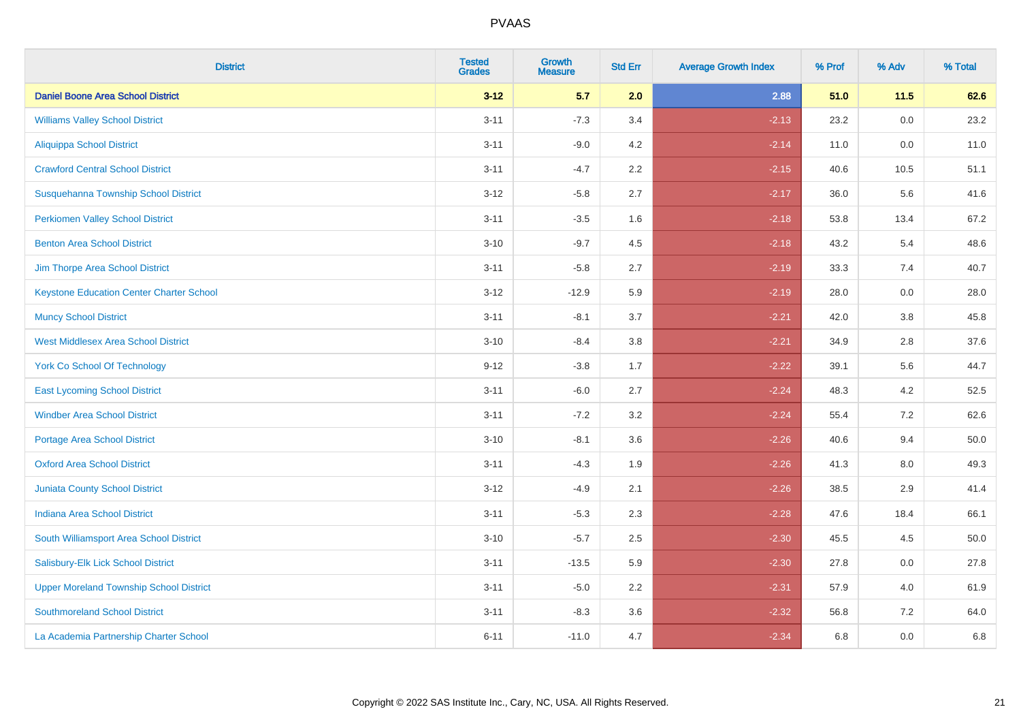| <b>District</b>                                 | <b>Tested</b><br><b>Grades</b> | Growth<br><b>Measure</b> | <b>Std Err</b> | <b>Average Growth Index</b> | % Prof | % Adv   | % Total |
|-------------------------------------------------|--------------------------------|--------------------------|----------------|-----------------------------|--------|---------|---------|
| <b>Daniel Boone Area School District</b>        | $3 - 12$                       | 5.7                      | 2.0            | 2.88                        | 51.0   | 11.5    | 62.6    |
| <b>Williams Valley School District</b>          | $3 - 11$                       | $-7.3$                   | 3.4            | $-2.13$                     | 23.2   | 0.0     | 23.2    |
| <b>Aliquippa School District</b>                | $3 - 11$                       | $-9.0$                   | 4.2            | $-2.14$                     | 11.0   | 0.0     | 11.0    |
| <b>Crawford Central School District</b>         | $3 - 11$                       | $-4.7$                   | 2.2            | $-2.15$                     | 40.6   | 10.5    | 51.1    |
| Susquehanna Township School District            | $3 - 12$                       | $-5.8$                   | 2.7            | $-2.17$                     | 36.0   | 5.6     | 41.6    |
| <b>Perkiomen Valley School District</b>         | $3 - 11$                       | $-3.5$                   | 1.6            | $-2.18$                     | 53.8   | 13.4    | 67.2    |
| <b>Benton Area School District</b>              | $3 - 10$                       | $-9.7$                   | 4.5            | $-2.18$                     | 43.2   | 5.4     | 48.6    |
| Jim Thorpe Area School District                 | $3 - 11$                       | $-5.8$                   | 2.7            | $-2.19$                     | 33.3   | 7.4     | 40.7    |
| <b>Keystone Education Center Charter School</b> | $3 - 12$                       | $-12.9$                  | 5.9            | $-2.19$                     | 28.0   | $0.0\,$ | 28.0    |
| <b>Muncy School District</b>                    | $3 - 11$                       | $-8.1$                   | 3.7            | $-2.21$                     | 42.0   | 3.8     | 45.8    |
| <b>West Middlesex Area School District</b>      | $3 - 10$                       | $-8.4$                   | 3.8            | $-2.21$                     | 34.9   | 2.8     | 37.6    |
| <b>York Co School Of Technology</b>             | $9 - 12$                       | $-3.8$                   | 1.7            | $-2.22$                     | 39.1   | 5.6     | 44.7    |
| <b>East Lycoming School District</b>            | $3 - 11$                       | $-6.0$                   | 2.7            | $-2.24$                     | 48.3   | 4.2     | 52.5    |
| <b>Windber Area School District</b>             | $3 - 11$                       | $-7.2$                   | 3.2            | $-2.24$                     | 55.4   | 7.2     | 62.6    |
| <b>Portage Area School District</b>             | $3 - 10$                       | $-8.1$                   | 3.6            | $-2.26$                     | 40.6   | 9.4     | 50.0    |
| <b>Oxford Area School District</b>              | $3 - 11$                       | $-4.3$                   | 1.9            | $-2.26$                     | 41.3   | $8.0\,$ | 49.3    |
| <b>Juniata County School District</b>           | $3 - 12$                       | $-4.9$                   | 2.1            | $-2.26$                     | 38.5   | 2.9     | 41.4    |
| <b>Indiana Area School District</b>             | $3 - 11$                       | $-5.3$                   | 2.3            | $-2.28$                     | 47.6   | 18.4    | 66.1    |
| South Williamsport Area School District         | $3 - 10$                       | $-5.7$                   | 2.5            | $-2.30$                     | 45.5   | 4.5     | 50.0    |
| Salisbury-Elk Lick School District              | $3 - 11$                       | $-13.5$                  | 5.9            | $-2.30$                     | 27.8   | 0.0     | 27.8    |
| <b>Upper Moreland Township School District</b>  | $3 - 11$                       | $-5.0$                   | 2.2            | $-2.31$                     | 57.9   | 4.0     | 61.9    |
| <b>Southmoreland School District</b>            | $3 - 11$                       | $-8.3$                   | 3.6            | $-2.32$                     | 56.8   | 7.2     | 64.0    |
| La Academia Partnership Charter School          | $6 - 11$                       | $-11.0$                  | 4.7            | $-2.34$                     | 6.8    | 0.0     | 6.8     |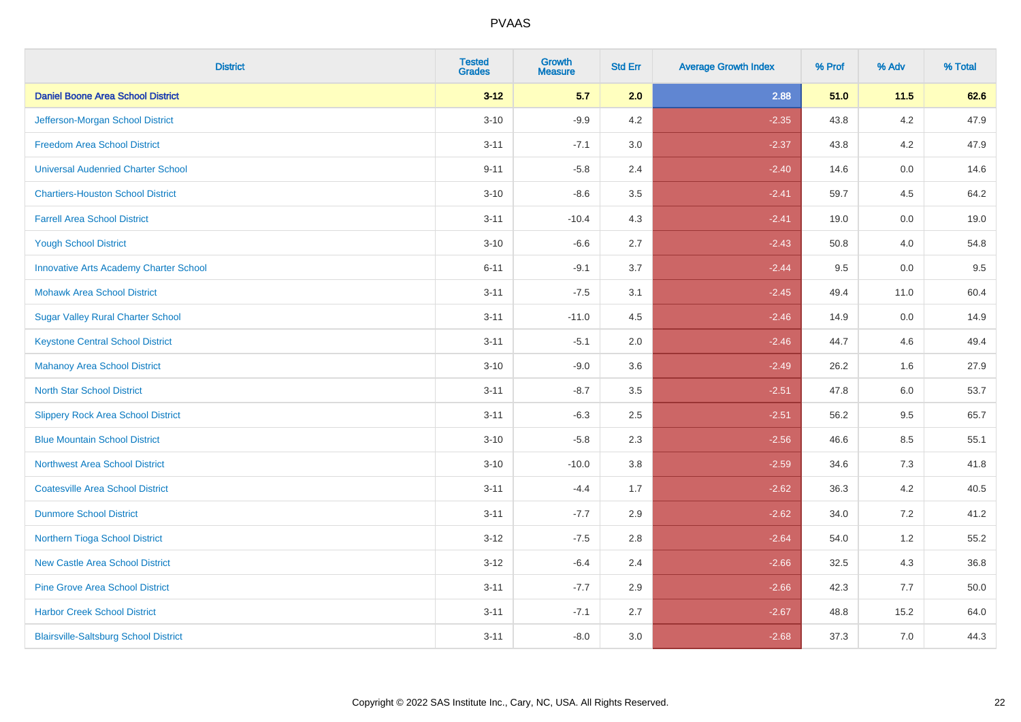| <b>District</b>                               | <b>Tested</b><br><b>Grades</b> | <b>Growth</b><br><b>Measure</b> | <b>Std Err</b> | <b>Average Growth Index</b> | % Prof | % Adv   | % Total |
|-----------------------------------------------|--------------------------------|---------------------------------|----------------|-----------------------------|--------|---------|---------|
| <b>Daniel Boone Area School District</b>      | $3 - 12$                       | 5.7                             | 2.0            | 2.88                        | 51.0   | 11.5    | 62.6    |
| Jefferson-Morgan School District              | $3 - 10$                       | $-9.9$                          | 4.2            | $-2.35$                     | 43.8   | 4.2     | 47.9    |
| <b>Freedom Area School District</b>           | $3 - 11$                       | $-7.1$                          | 3.0            | $-2.37$                     | 43.8   | 4.2     | 47.9    |
| <b>Universal Audenried Charter School</b>     | $9 - 11$                       | $-5.8$                          | 2.4            | $-2.40$                     | 14.6   | 0.0     | 14.6    |
| <b>Chartiers-Houston School District</b>      | $3 - 10$                       | $-8.6$                          | 3.5            | $-2.41$                     | 59.7   | 4.5     | 64.2    |
| <b>Farrell Area School District</b>           | $3 - 11$                       | $-10.4$                         | 4.3            | $-2.41$                     | 19.0   | 0.0     | 19.0    |
| <b>Yough School District</b>                  | $3 - 10$                       | $-6.6$                          | 2.7            | $-2.43$                     | 50.8   | 4.0     | 54.8    |
| <b>Innovative Arts Academy Charter School</b> | $6 - 11$                       | $-9.1$                          | 3.7            | $-2.44$                     | 9.5    | 0.0     | 9.5     |
| <b>Mohawk Area School District</b>            | $3 - 11$                       | $-7.5$                          | 3.1            | $-2.45$                     | 49.4   | 11.0    | 60.4    |
| <b>Sugar Valley Rural Charter School</b>      | $3 - 11$                       | $-11.0$                         | 4.5            | $-2.46$                     | 14.9   | 0.0     | 14.9    |
| <b>Keystone Central School District</b>       | $3 - 11$                       | $-5.1$                          | 2.0            | $-2.46$                     | 44.7   | 4.6     | 49.4    |
| <b>Mahanoy Area School District</b>           | $3 - 10$                       | $-9.0$                          | 3.6            | $-2.49$                     | 26.2   | 1.6     | 27.9    |
| <b>North Star School District</b>             | $3 - 11$                       | $-8.7$                          | 3.5            | $-2.51$                     | 47.8   | $6.0\,$ | 53.7    |
| <b>Slippery Rock Area School District</b>     | $3 - 11$                       | $-6.3$                          | 2.5            | $-2.51$                     | 56.2   | 9.5     | 65.7    |
| <b>Blue Mountain School District</b>          | $3 - 10$                       | $-5.8$                          | 2.3            | $-2.56$                     | 46.6   | 8.5     | 55.1    |
| <b>Northwest Area School District</b>         | $3 - 10$                       | $-10.0$                         | 3.8            | $-2.59$                     | 34.6   | 7.3     | 41.8    |
| <b>Coatesville Area School District</b>       | $3 - 11$                       | $-4.4$                          | 1.7            | $-2.62$                     | 36.3   | 4.2     | 40.5    |
| <b>Dunmore School District</b>                | $3 - 11$                       | $-7.7$                          | 2.9            | $-2.62$                     | 34.0   | 7.2     | 41.2    |
| Northern Tioga School District                | $3 - 12$                       | $-7.5$                          | 2.8            | $-2.64$                     | 54.0   | 1.2     | 55.2    |
| <b>New Castle Area School District</b>        | $3 - 12$                       | $-6.4$                          | 2.4            | $-2.66$                     | 32.5   | 4.3     | 36.8    |
| <b>Pine Grove Area School District</b>        | $3 - 11$                       | $-7.7$                          | 2.9            | $-2.66$                     | 42.3   | 7.7     | 50.0    |
| <b>Harbor Creek School District</b>           | $3 - 11$                       | $-7.1$                          | 2.7            | $-2.67$                     | 48.8   | 15.2    | 64.0    |
| <b>Blairsville-Saltsburg School District</b>  | $3 - 11$                       | $-8.0$                          | 3.0            | $-2.68$                     | 37.3   | 7.0     | 44.3    |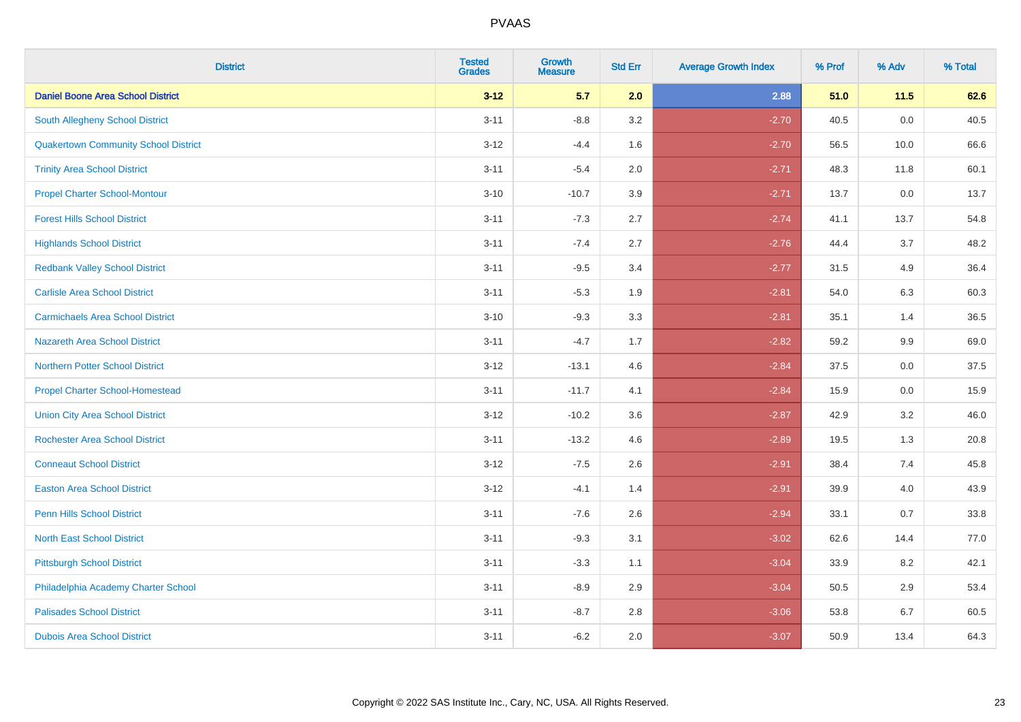| <b>District</b>                             | <b>Tested</b><br><b>Grades</b> | <b>Growth</b><br><b>Measure</b> | <b>Std Err</b> | <b>Average Growth Index</b> | % Prof | % Adv | % Total |
|---------------------------------------------|--------------------------------|---------------------------------|----------------|-----------------------------|--------|-------|---------|
| <b>Daniel Boone Area School District</b>    | $3 - 12$                       | 5.7                             | 2.0            | 2.88                        | 51.0   | 11.5  | 62.6    |
| <b>South Allegheny School District</b>      | $3 - 11$                       | $-8.8$                          | 3.2            | $-2.70$                     | 40.5   | 0.0   | 40.5    |
| <b>Quakertown Community School District</b> | $3 - 12$                       | $-4.4$                          | 1.6            | $-2.70$                     | 56.5   | 10.0  | 66.6    |
| <b>Trinity Area School District</b>         | $3 - 11$                       | $-5.4$                          | 2.0            | $-2.71$                     | 48.3   | 11.8  | 60.1    |
| <b>Propel Charter School-Montour</b>        | $3 - 10$                       | $-10.7$                         | 3.9            | $-2.71$                     | 13.7   | 0.0   | 13.7    |
| <b>Forest Hills School District</b>         | $3 - 11$                       | $-7.3$                          | 2.7            | $-2.74$                     | 41.1   | 13.7  | 54.8    |
| <b>Highlands School District</b>            | $3 - 11$                       | $-7.4$                          | 2.7            | $-2.76$                     | 44.4   | 3.7   | 48.2    |
| <b>Redbank Valley School District</b>       | $3 - 11$                       | $-9.5$                          | 3.4            | $-2.77$                     | 31.5   | 4.9   | 36.4    |
| <b>Carlisle Area School District</b>        | $3 - 11$                       | $-5.3$                          | 1.9            | $-2.81$                     | 54.0   | 6.3   | 60.3    |
| <b>Carmichaels Area School District</b>     | $3 - 10$                       | $-9.3$                          | 3.3            | $-2.81$                     | 35.1   | 1.4   | 36.5    |
| Nazareth Area School District               | $3 - 11$                       | $-4.7$                          | 1.7            | $-2.82$                     | 59.2   | 9.9   | 69.0    |
| <b>Northern Potter School District</b>      | $3 - 12$                       | $-13.1$                         | 4.6            | $-2.84$                     | 37.5   | 0.0   | 37.5    |
| <b>Propel Charter School-Homestead</b>      | $3 - 11$                       | $-11.7$                         | 4.1            | $-2.84$                     | 15.9   | 0.0   | 15.9    |
| <b>Union City Area School District</b>      | $3-12$                         | $-10.2$                         | 3.6            | $-2.87$                     | 42.9   | 3.2   | 46.0    |
| <b>Rochester Area School District</b>       | $3 - 11$                       | $-13.2$                         | 4.6            | $-2.89$                     | 19.5   | 1.3   | 20.8    |
| <b>Conneaut School District</b>             | $3 - 12$                       | $-7.5$                          | 2.6            | $-2.91$                     | 38.4   | 7.4   | 45.8    |
| <b>Easton Area School District</b>          | $3 - 12$                       | $-4.1$                          | 1.4            | $-2.91$                     | 39.9   | 4.0   | 43.9    |
| <b>Penn Hills School District</b>           | $3 - 11$                       | $-7.6$                          | 2.6            | $-2.94$                     | 33.1   | 0.7   | 33.8    |
| <b>North East School District</b>           | $3 - 11$                       | $-9.3$                          | 3.1            | $-3.02$                     | 62.6   | 14.4  | 77.0    |
| <b>Pittsburgh School District</b>           | $3 - 11$                       | $-3.3$                          | 1.1            | $-3.04$                     | 33.9   | 8.2   | 42.1    |
| Philadelphia Academy Charter School         | $3 - 11$                       | $-8.9$                          | 2.9            | $-3.04$                     | 50.5   | 2.9   | 53.4    |
| <b>Palisades School District</b>            | $3 - 11$                       | $-8.7$                          | 2.8            | $-3.06$                     | 53.8   | 6.7   | 60.5    |
| <b>Dubois Area School District</b>          | $3 - 11$                       | $-6.2$                          | 2.0            | $-3.07$                     | 50.9   | 13.4  | 64.3    |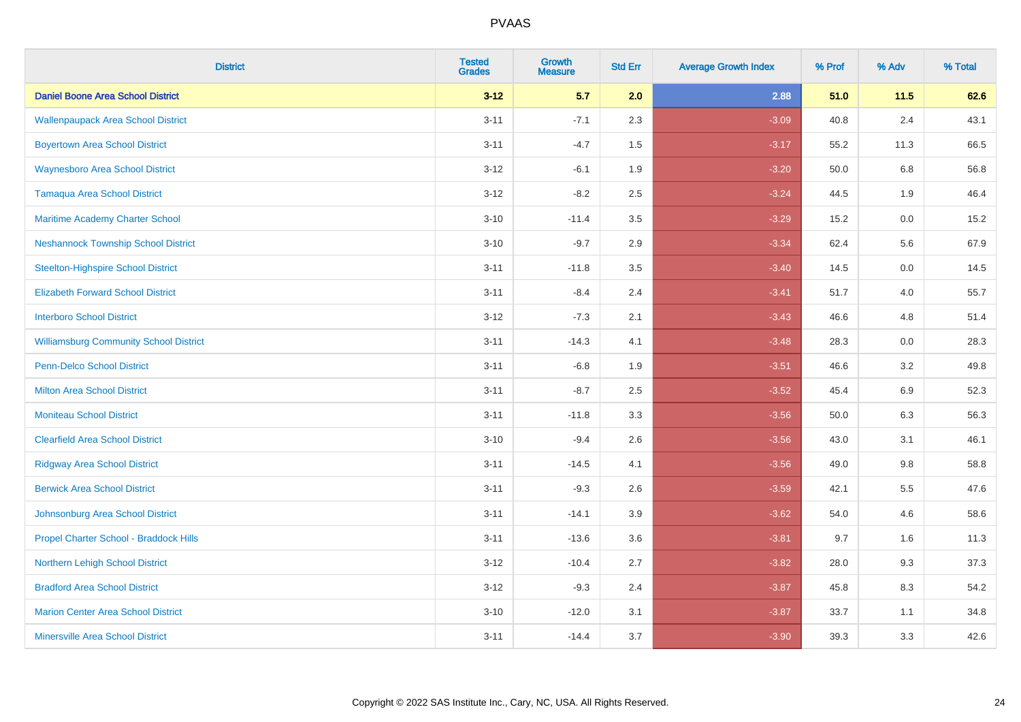| <b>District</b>                               | <b>Tested</b><br><b>Grades</b> | <b>Growth</b><br><b>Measure</b> | <b>Std Err</b> | <b>Average Growth Index</b> | % Prof | % Adv   | % Total |
|-----------------------------------------------|--------------------------------|---------------------------------|----------------|-----------------------------|--------|---------|---------|
| <b>Daniel Boone Area School District</b>      | $3 - 12$                       | 5.7                             | 2.0            | 2.88                        | 51.0   | 11.5    | 62.6    |
| <b>Wallenpaupack Area School District</b>     | $3 - 11$                       | $-7.1$                          | 2.3            | $-3.09$                     | 40.8   | 2.4     | 43.1    |
| <b>Boyertown Area School District</b>         | $3 - 11$                       | $-4.7$                          | 1.5            | $-3.17$                     | 55.2   | 11.3    | 66.5    |
| <b>Waynesboro Area School District</b>        | $3 - 12$                       | $-6.1$                          | 1.9            | $-3.20$                     | 50.0   | 6.8     | 56.8    |
| <b>Tamaqua Area School District</b>           | $3 - 12$                       | $-8.2$                          | 2.5            | $-3.24$                     | 44.5   | 1.9     | 46.4    |
| Maritime Academy Charter School               | $3 - 10$                       | $-11.4$                         | 3.5            | $-3.29$                     | 15.2   | $0.0\,$ | 15.2    |
| <b>Neshannock Township School District</b>    | $3 - 10$                       | $-9.7$                          | 2.9            | $-3.34$                     | 62.4   | 5.6     | 67.9    |
| <b>Steelton-Highspire School District</b>     | $3 - 11$                       | $-11.8$                         | 3.5            | $-3.40$                     | 14.5   | 0.0     | 14.5    |
| <b>Elizabeth Forward School District</b>      | $3 - 11$                       | $-8.4$                          | 2.4            | $-3.41$                     | 51.7   | 4.0     | 55.7    |
| <b>Interboro School District</b>              | $3 - 12$                       | $-7.3$                          | 2.1            | $-3.43$                     | 46.6   | 4.8     | 51.4    |
| <b>Williamsburg Community School District</b> | $3 - 11$                       | $-14.3$                         | 4.1            | $-3.48$                     | 28.3   | 0.0     | 28.3    |
| <b>Penn-Delco School District</b>             | $3 - 11$                       | $-6.8$                          | 1.9            | $-3.51$                     | 46.6   | 3.2     | 49.8    |
| <b>Milton Area School District</b>            | $3 - 11$                       | $-8.7$                          | 2.5            | $-3.52$                     | 45.4   | 6.9     | 52.3    |
| <b>Moniteau School District</b>               | $3 - 11$                       | $-11.8$                         | 3.3            | $-3.56$                     | 50.0   | 6.3     | 56.3    |
| <b>Clearfield Area School District</b>        | $3 - 10$                       | $-9.4$                          | 2.6            | $-3.56$                     | 43.0   | 3.1     | 46.1    |
| <b>Ridgway Area School District</b>           | $3 - 11$                       | $-14.5$                         | 4.1            | $-3.56$                     | 49.0   | 9.8     | 58.8    |
| <b>Berwick Area School District</b>           | $3 - 11$                       | $-9.3$                          | 2.6            | $-3.59$                     | 42.1   | 5.5     | 47.6    |
| Johnsonburg Area School District              | $3 - 11$                       | $-14.1$                         | 3.9            | $-3.62$                     | 54.0   | 4.6     | 58.6    |
| Propel Charter School - Braddock Hills        | $3 - 11$                       | $-13.6$                         | 3.6            | $-3.81$                     | 9.7    | 1.6     | 11.3    |
| Northern Lehigh School District               | $3 - 12$                       | $-10.4$                         | 2.7            | $-3.82$                     | 28.0   | 9.3     | 37.3    |
| <b>Bradford Area School District</b>          | $3 - 12$                       | $-9.3$                          | 2.4            | $-3.87$                     | 45.8   | 8.3     | 54.2    |
| <b>Marion Center Area School District</b>     | $3 - 10$                       | $-12.0$                         | 3.1            | $-3.87$                     | 33.7   | 1.1     | 34.8    |
| <b>Minersville Area School District</b>       | $3 - 11$                       | $-14.4$                         | 3.7            | $-3.90$                     | 39.3   | 3.3     | 42.6    |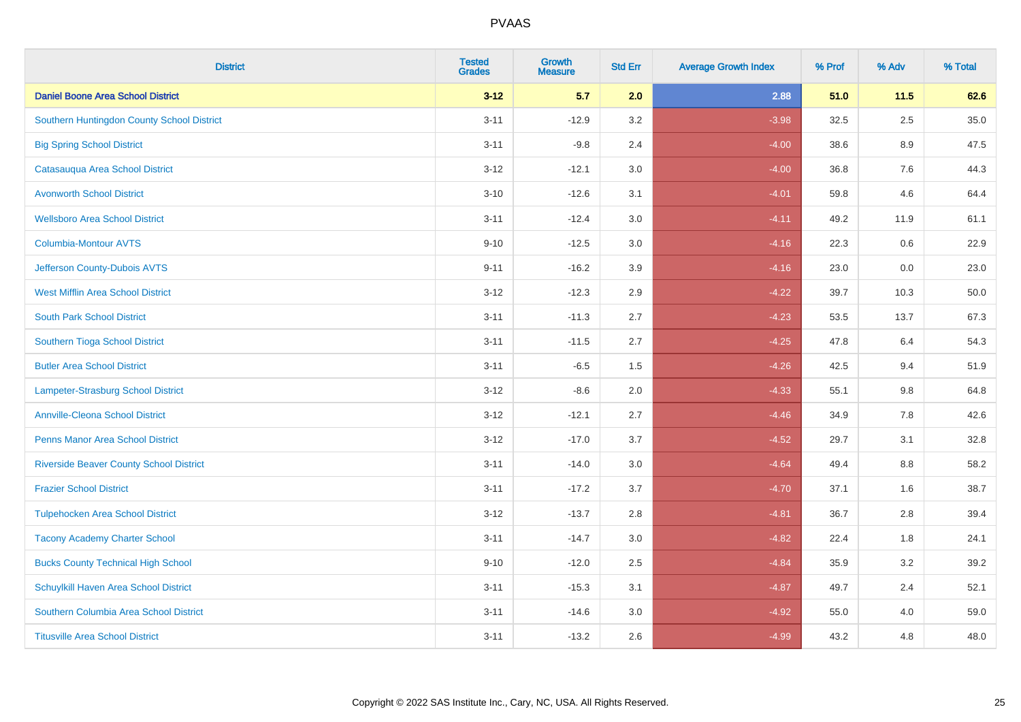| <b>District</b>                                | <b>Tested</b><br><b>Grades</b> | <b>Growth</b><br><b>Measure</b> | <b>Std Err</b> | <b>Average Growth Index</b> | % Prof | % Adv   | % Total |
|------------------------------------------------|--------------------------------|---------------------------------|----------------|-----------------------------|--------|---------|---------|
| <b>Daniel Boone Area School District</b>       | $3 - 12$                       | 5.7                             | 2.0            | 2.88                        | 51.0   | $11.5$  | 62.6    |
| Southern Huntingdon County School District     | $3 - 11$                       | $-12.9$                         | 3.2            | $-3.98$                     | 32.5   | $2.5\,$ | 35.0    |
| <b>Big Spring School District</b>              | $3 - 11$                       | $-9.8$                          | 2.4            | $-4.00$                     | 38.6   | 8.9     | 47.5    |
| Catasauqua Area School District                | $3 - 12$                       | $-12.1$                         | 3.0            | $-4.00$                     | 36.8   | 7.6     | 44.3    |
| <b>Avonworth School District</b>               | $3 - 10$                       | $-12.6$                         | 3.1            | $-4.01$                     | 59.8   | 4.6     | 64.4    |
| <b>Wellsboro Area School District</b>          | $3 - 11$                       | $-12.4$                         | 3.0            | $-4.11$                     | 49.2   | 11.9    | 61.1    |
| Columbia-Montour AVTS                          | $9 - 10$                       | $-12.5$                         | 3.0            | $-4.16$                     | 22.3   | 0.6     | 22.9    |
| Jefferson County-Dubois AVTS                   | $9 - 11$                       | $-16.2$                         | 3.9            | $-4.16$                     | 23.0   | 0.0     | 23.0    |
| <b>West Mifflin Area School District</b>       | $3 - 12$                       | $-12.3$                         | 2.9            | $-4.22$                     | 39.7   | 10.3    | 50.0    |
| <b>South Park School District</b>              | $3 - 11$                       | $-11.3$                         | 2.7            | $-4.23$                     | 53.5   | 13.7    | 67.3    |
| Southern Tioga School District                 | $3 - 11$                       | $-11.5$                         | 2.7            | $-4.25$                     | 47.8   | 6.4     | 54.3    |
| <b>Butler Area School District</b>             | $3 - 11$                       | $-6.5$                          | 1.5            | $-4.26$                     | 42.5   | 9.4     | 51.9    |
| Lampeter-Strasburg School District             | $3 - 12$                       | $-8.6$                          | 2.0            | $-4.33$                     | 55.1   | $9.8\,$ | 64.8    |
| <b>Annville-Cleona School District</b>         | $3 - 12$                       | $-12.1$                         | 2.7            | $-4.46$                     | 34.9   | $7.8\,$ | 42.6    |
| <b>Penns Manor Area School District</b>        | $3 - 12$                       | $-17.0$                         | 3.7            | $-4.52$                     | 29.7   | 3.1     | 32.8    |
| <b>Riverside Beaver County School District</b> | $3 - 11$                       | $-14.0$                         | 3.0            | $-4.64$                     | 49.4   | 8.8     | 58.2    |
| <b>Frazier School District</b>                 | $3 - 11$                       | $-17.2$                         | 3.7            | $-4.70$                     | 37.1   | 1.6     | 38.7    |
| <b>Tulpehocken Area School District</b>        | $3 - 12$                       | $-13.7$                         | 2.8            | $-4.81$                     | 36.7   | 2.8     | 39.4    |
| <b>Tacony Academy Charter School</b>           | $3 - 11$                       | $-14.7$                         | 3.0            | $-4.82$                     | 22.4   | 1.8     | 24.1    |
| <b>Bucks County Technical High School</b>      | $9 - 10$                       | $-12.0$                         | 2.5            | $-4.84$                     | 35.9   | 3.2     | 39.2    |
| Schuylkill Haven Area School District          | $3 - 11$                       | $-15.3$                         | 3.1            | $-4.87$                     | 49.7   | 2.4     | 52.1    |
| Southern Columbia Area School District         | $3 - 11$                       | $-14.6$                         | 3.0            | $-4.92$                     | 55.0   | 4.0     | 59.0    |
| <b>Titusville Area School District</b>         | $3 - 11$                       | $-13.2$                         | 2.6            | $-4.99$                     | 43.2   | 4.8     | 48.0    |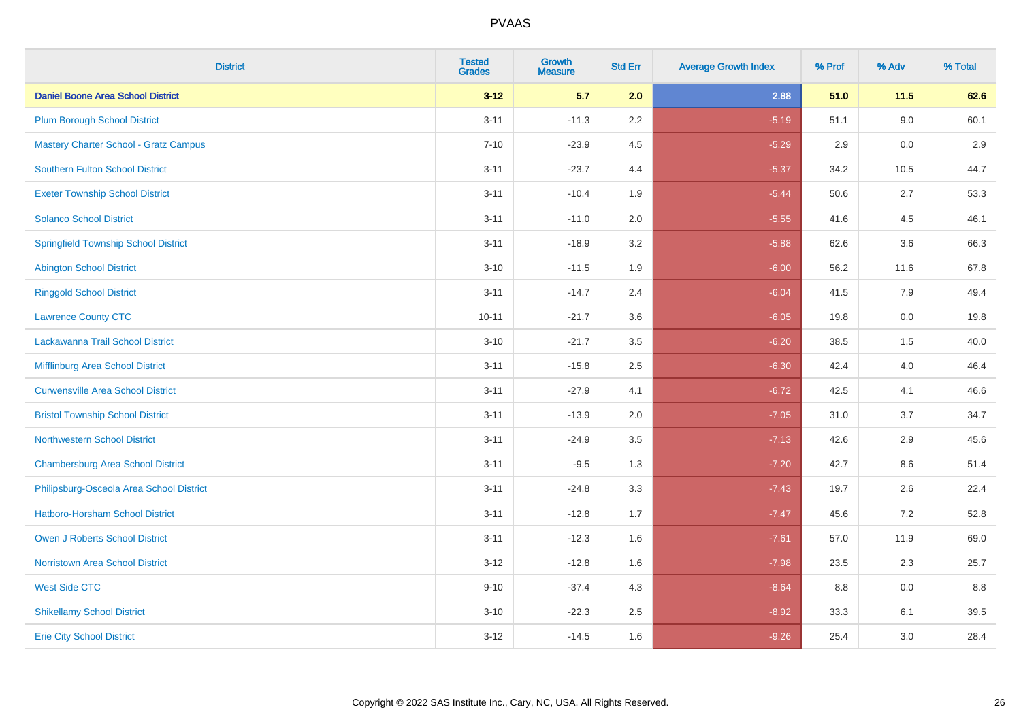| <b>District</b>                              | <b>Tested</b><br><b>Grades</b> | <b>Growth</b><br><b>Measure</b> | <b>Std Err</b> | <b>Average Growth Index</b> | % Prof | % Adv | % Total |
|----------------------------------------------|--------------------------------|---------------------------------|----------------|-----------------------------|--------|-------|---------|
| <b>Daniel Boone Area School District</b>     | $3 - 12$                       | 5.7                             | 2.0            | 2.88                        | 51.0   | 11.5  | 62.6    |
| <b>Plum Borough School District</b>          | $3 - 11$                       | $-11.3$                         | 2.2            | $-5.19$                     | 51.1   | 9.0   | 60.1    |
| <b>Mastery Charter School - Gratz Campus</b> | $7 - 10$                       | $-23.9$                         | 4.5            | $-5.29$                     | 2.9    | 0.0   | 2.9     |
| Southern Fulton School District              | $3 - 11$                       | $-23.7$                         | 4.4            | $-5.37$                     | 34.2   | 10.5  | 44.7    |
| <b>Exeter Township School District</b>       | $3 - 11$                       | $-10.4$                         | 1.9            | $-5.44$                     | 50.6   | 2.7   | 53.3    |
| <b>Solanco School District</b>               | $3 - 11$                       | $-11.0$                         | 2.0            | $-5.55$                     | 41.6   | 4.5   | 46.1    |
| <b>Springfield Township School District</b>  | $3 - 11$                       | $-18.9$                         | 3.2            | $-5.88$                     | 62.6   | 3.6   | 66.3    |
| <b>Abington School District</b>              | $3 - 10$                       | $-11.5$                         | 1.9            | $-6.00$                     | 56.2   | 11.6  | 67.8    |
| <b>Ringgold School District</b>              | $3 - 11$                       | $-14.7$                         | 2.4            | $-6.04$                     | 41.5   | 7.9   | 49.4    |
| <b>Lawrence County CTC</b>                   | $10 - 11$                      | $-21.7$                         | 3.6            | $-6.05$                     | 19.8   | 0.0   | 19.8    |
| Lackawanna Trail School District             | $3 - 10$                       | $-21.7$                         | 3.5            | $-6.20$                     | 38.5   | 1.5   | 40.0    |
| Mifflinburg Area School District             | $3 - 11$                       | $-15.8$                         | 2.5            | $-6.30$                     | 42.4   | 4.0   | 46.4    |
| <b>Curwensville Area School District</b>     | $3 - 11$                       | $-27.9$                         | 4.1            | $-6.72$                     | 42.5   | 4.1   | 46.6    |
| <b>Bristol Township School District</b>      | $3 - 11$                       | $-13.9$                         | 2.0            | $-7.05$                     | 31.0   | 3.7   | 34.7    |
| <b>Northwestern School District</b>          | $3 - 11$                       | $-24.9$                         | 3.5            | $-7.13$                     | 42.6   | 2.9   | 45.6    |
| <b>Chambersburg Area School District</b>     | $3 - 11$                       | $-9.5$                          | 1.3            | $-7.20$                     | 42.7   | 8.6   | 51.4    |
| Philipsburg-Osceola Area School District     | $3 - 11$                       | $-24.8$                         | 3.3            | $-7.43$                     | 19.7   | 2.6   | 22.4    |
| Hatboro-Horsham School District              | $3 - 11$                       | $-12.8$                         | 1.7            | $-7.47$                     | 45.6   | 7.2   | 52.8    |
| <b>Owen J Roberts School District</b>        | $3 - 11$                       | $-12.3$                         | 1.6            | $-7.61$                     | 57.0   | 11.9  | 69.0    |
| <b>Norristown Area School District</b>       | $3 - 12$                       | $-12.8$                         | 1.6            | $-7.98$                     | 23.5   | 2.3   | 25.7    |
| <b>West Side CTC</b>                         | $9 - 10$                       | $-37.4$                         | 4.3            | $-8.64$                     | 8.8    | 0.0   | 8.8     |
| <b>Shikellamy School District</b>            | $3 - 10$                       | $-22.3$                         | 2.5            | $-8.92$                     | 33.3   | 6.1   | 39.5    |
| <b>Erie City School District</b>             | $3 - 12$                       | $-14.5$                         | 1.6            | $-9.26$                     | 25.4   | 3.0   | 28.4    |